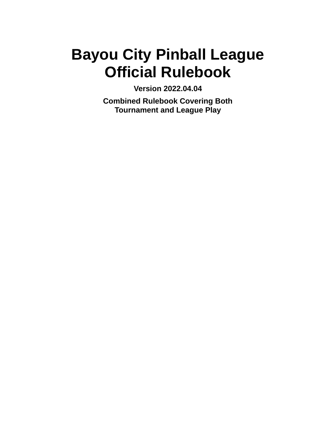# **Bayou City Pinball League Official Rulebook**

**Version 2022.04.04**

**Combined Rulebook Covering Both Tournament and League Play**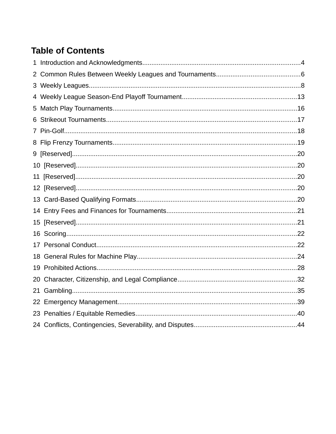# **Table of Contents**

| 19 |  |
|----|--|
| 20 |  |
| 21 |  |
| 22 |  |
|    |  |
|    |  |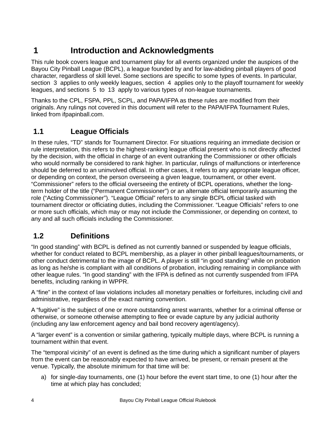# <span id="page-3-0"></span> **1 Introduction and Acknowledgments**

This rule book covers league and tournament play for all events organized under the auspices of the Bayou City Pinball League (BCPL), a league founded by and for law-abiding pinball players of good character, regardless of skill level. Some sections are specific to some types of events. In particular, section [3](#page-7-0) applies to only weekly leagues, section [4](#page-12-0) applies only to the playoff tournament for weekly leagues, and sections [5](#page-15-0) to [13](#page-19-0) apply to various types of non-league tournaments.

Thanks to the CPL, FSPA, PPL, SCPL, and PAPA/IFPA as these rules are modified from their originals. Any rulings not covered in this document will refer to the PAPA/IFPA Tournament Rules, linked from ifpapinball.com.

# **1.1 League Officials**

In these rules, "TD" stands for Tournament Director. For situations requiring an immediate decision or rule interpretation, this refers to the highest-ranking league official present who is not directly affected by the decision, with the official in charge of an event outranking the Commissioner or other officials who would normally be considered to rank higher. In particular, rulings of malfunctions or interference should be deferred to an uninvolved official. In other cases, it refers to any appropriate league officer, or depending on context, the person overseeing a given league, tournament, or other event. "Commissioner" refers to the official overseeing the entirety of BCPL operations, whether the longterm holder of the title ("Permanent Commissioner") or an alternate official temporarily assuming the role ("Acting Commissioner"). "League Official" refers to any single BCPL official tasked with tournament director or officiating duties, including the Commissioner. "League Officials" refers to one or more such officials, which may or may not include the Commissioner, or depending on context, to any and all such officials including the Commissioner.

# <span id="page-3-1"></span> **1.2 Definitions**

"In good standing" with BCPL is defined as not currently banned or suspended by league officials, whether for conduct related to BCPL membership, as a player in other pinball leagues/tournaments, or other conduct detrimental to the image of BCPL. A player is still "in good standing" while on probation as long as he/she is compliant with all conditions of probation, including remaining in compliance with other league rules. "In good standing" with the IFPA is defined as not currently suspended from IFPA benefits, including ranking in WPPR.

A "fine" in the context of law violations includes all monetary penalties or forfeitures, including civil and administrative, regardless of the exact naming convention.

A "fugitive" is the subject of one or more outstanding arrest warrants, whether for a criminal offense or otherwise, or someone otherwise attempting to flee or evade capture by any judicial authority (including any law enforcement agency and bail bond recovery agent/agency).

A "larger event" is a convention or similar gathering, typically multiple days, where BCPL is running a tournament within that event.

The "temporal vicinity" of an event is defined as the time during which a significant number of players from the event can be reasonably expected to have arrived, be present, or remain present at the venue. Typically, the absolute minimum for that time will be:

a) for single-day tournaments, one (1) hour before the event start time, to one (1) hour after the time at which play has concluded;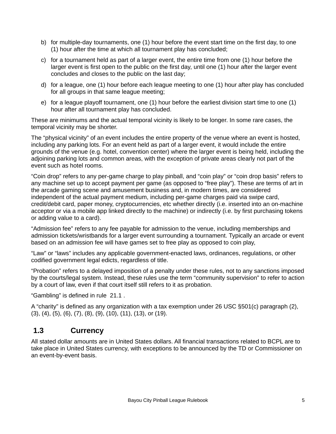- b) for multiple-day tournaments, one (1) hour before the event start time on the first day, to one (1) hour after the time at which all tournament play has concluded;
- c) for a tournament held as part of a larger event, the entire time from one (1) hour before the larger event is first open to the public on the first day, until one (1) hour after the larger event concludes and closes to the public on the last day;
- d) for a league, one (1) hour before each league meeting to one (1) hour after play has concluded for all groups in that same league meeting;
- e) for a league playoff tournament, one (1) hour before the earliest division start time to one (1) hour after all tournament play has concluded.

These are minimums and the actual temporal vicinity is likely to be longer. In some rare cases, the temporal vicinity may be shorter.

The "physical vicinity" of an event includes the entire property of the venue where an event is hosted, including any parking lots. For an event held as part of a larger event, it would include the entire grounds of the venue (e.g. hotel, convention center) where the larger event is being held, including the adjoining parking lots and common areas, with the exception of private areas clearly not part of the event such as hotel rooms.

"Coin drop" refers to any per-game charge to play pinball, and "coin play" or "coin drop basis" refers to any machine set up to accept payment per game (as opposed to "free play"). These are terms of art in the arcade gaming scene and amusement business and, in modern times, are considered independent of the actual payment medium, including per-game charges paid via swipe card, credit/debit card, paper money, cryptocurrencies, etc whether directly (i.e. inserted into an on-machine acceptor or via a mobile app linked directly to the machine) or indirectly (i.e. by first purchasing tokens or adding value to a card).

"Admission fee" refers to any fee payable for admission to the venue, including memberships and admission tickets/wristbands for a larger event surrounding a tournament. Typically an arcade or event based on an admission fee will have games set to free play as opposed to coin play,

"Law" or "laws" includes any applicable government-enacted laws, ordinances, regulations, or other codified government legal edicts, regardless of title.

"Probation" refers to a delayed imposition of a penalty under these rules, not to any sanctions imposed by the courts/legal system. Instead, these rules use the term "community supervision" to refer to action by a court of law, even if that court itself still refers to it as probation.

"Gambling" is defined in rule [21.1](#page-34-1) .

A "charity" is defined as any organization with a tax exemption under 26 USC §501(c) paragraph (2), (3), (4), (5), (6), (7), (8), (9), (10), (11), (13), or (19).

### **1.3 Currency**

All stated dollar amounts are in United States dollars. All financial transactions related to BCPL are to take place in United States currency, with exceptions to be announced by the TD or Commissioner on an event-by-event basis.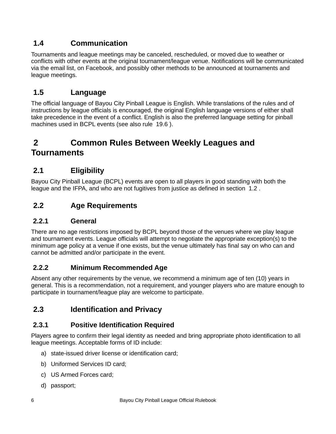### **1.4 Communication**

Tournaments and league meetings may be canceled, rescheduled, or moved due to weather or conflicts with other events at the original tournament/league venue. Notifications will be communicated via the email list, on Facebook, and possibly other methods to be announced at tournaments and league meetings.

### **1.5 Language**

The official language of Bayou City Pinball League is English. While translations of the rules and of instructions by league officials is encouraged, the original English language versions of either shall take precedence in the event of a conflict. English is also the preferred language setting for pinball machines used in BCPL events (see also rule [19.6](#page-29-0) ).

# <span id="page-5-0"></span> **2 Common Rules Between Weekly Leagues and Tournaments**

### <span id="page-5-2"></span> **2.1 Eligibility**

Bayou City Pinball League (BCPL) events are open to all players in good standing with both the league and the IFPA, and who are not fugitives from justice as defined in section [1.2 .](#page-3-1)

### **2.2 Age Requirements**

#### **2.2.1 General**

There are no age restrictions imposed by BCPL beyond those of the venues where we play league and tournament events. League officials will attempt to negotiate the appropriate exception(s) to the minimum age policy at a venue if one exists, but the venue ultimately has final say on who can and cannot be admitted and/or participate in the event.

#### **2.2.2 Minimum Recommended Age**

Absent any other requirements by the venue, we recommend a minimum age of ten (10) years in general. This is a recommendation, not a requirement, and younger players who are mature enough to participate in tournament/league play are welcome to participate.

### **2.3 Identification and Privacy**

#### <span id="page-5-1"></span> **2.3.1 Positive Identification Required**

Players agree to confirm their legal identity as needed and bring appropriate photo identification to all league meetings. Acceptable forms of ID include:

- a) state-issued driver license or identification card;
- b) Uniformed Services ID card;
- c) US Armed Forces card;
- d) passport;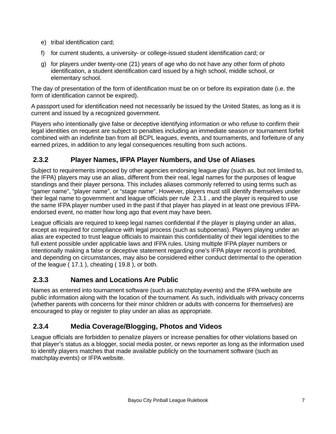- e) tribal identification card;
- f) for current students, a university- or college-issued student identification card; or
- g) for players under twenty-one (21) years of age who do not have any other form of photo identification, a student identification card issued by a high school, middle school, or elementary school.

The day of presentation of the form of identification must be on or before its expiration date (i.e. the form of identification cannot be expired).

A passport used for identification need not necessarily be issued by the United States, as long as it is current and issued by a recognized government.

Players who intentionally give false or deceptive identifying information or who refuse to confirm their legal identities on request are subject to penalties including an immediate season or tournament forfeit combined with an indefinite ban from all BCPL leagues, events, and tournaments, and forfeiture of any earned prizes, in addition to any legal consequences resulting from such actions.

#### **2.3.2 Player Names, IFPA Player Numbers, and Use of Aliases**

Subject to requirements imposed by other agencies endorsing league play (such as, but not limited to, the IFPA) players may use an alias, different from their real, legal names for the purposes of league standings and their player persona. This includes aliases commonly referred to using terms such as "gamer name", "player name", or "stage name". However, players must still identify themselves under their legal name to government and league officials per rule [2.3.1](#page-5-1) , and the player is required to use the same IFPA player number used in the past if that player has played in at least one previous IFPAendorsed event, no matter how long ago that event may have been.

League officials are required to keep legal names confidential if the player is playing under an alias, except as required for compliance with legal process (such as subpoenas). Players playing under an alias are expected to trust league officials to maintain this confidentiality of their legal identities to the full extent possible under applicable laws and IFPA rules. Using multiple IFPA player numbers or intentionally making a false or deceptive statement regarding one's IFPA player record is prohibited, and depending on circumstances, may also be considered either conduct detrimental to the operation of the league [\( 17.1 \)](#page-21-2), cheating ( [19.8](#page-30-0) ), or both.

#### **2.3.3 Names and Locations Are Public**

Names as entered into tournament software (such as matchplay.events) and the IFPA website are public information along with the location of the tournament. As such, individuals with privacy concerns (whether parents with concerns for their minor children or adults with concerns for themselves) are encouraged to play or register to play under an alias as appropriate.

#### **2.3.4 Media Coverage/Blogging, Photos and Videos**

League officials are forbidden to penalize players or increase penalties for other violations based on that player's status as a blogger, social media poster, or news reporter as long as the information used to identify players matches that made available publicly on the tournament software (such as matchplay.events) or IFPA website.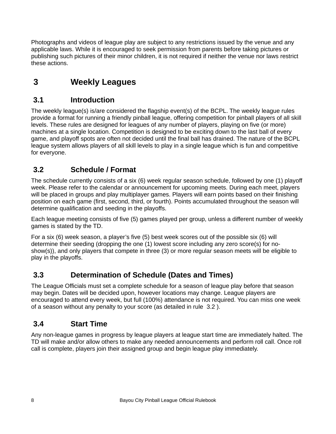Photographs and videos of league play are subject to any restrictions issued by the venue and any applicable laws. While it is encouraged to seek permission from parents before taking pictures or publishing such pictures of their minor children, it is not required if neither the venue nor laws restrict these actions.

# <span id="page-7-0"></span> **3 Weekly Leagues**

#### **3.1 Introduction**

The weekly league(s) is/are considered the flagship event(s) of the BCPL. The weekly league rules provide a format for running a friendly pinball league, offering competition for pinball players of all skill levels. These rules are designed for leagues of any number of players, playing on five (or more) machines at a single location. Competition is designed to be exciting down to the last ball of every game, and playoff spots are often not decided until the final ball has drained. The nature of the BCPL league system allows players of all skill levels to play in a single league which is fun and competitive for everyone.

### <span id="page-7-1"></span> **3.2 Schedule / Format**

The schedule currently consists of a six (6) week regular season schedule, followed by one (1) playoff week. Please refer to the calendar or announcement for upcoming meets. During each meet, players will be placed in groups and play multiplayer games. Players will earn points based on their finishing position on each game (first, second, third, or fourth). Points accumulated throughout the season will determine qualification and seeding in the playoffs.

Each league meeting consists of five (5) games played per group, unless a different number of weekly games is stated by the TD.

For a six (6) week season, a player's five (5) best week scores out of the possible six (6) will determine their seeding (dropping the one (1) lowest score including any zero score(s) for noshow(s)), and only players that compete in three (3) or more regular season meets will be eligible to play in the playoffs.

### **3.3 Determination of Schedule (Dates and Times)**

The League Officials must set a complete schedule for a season of league play before that season may begin. Dates will be decided upon, however locations may change. League players are encouraged to attend every week, but full (100%) attendance is not required. You can miss one week of a season without any penalty to your score (as detailed in rule [3.2](#page-7-1) ).

### **3.4 Start Time**

Any non-league games in progress by league players at league start time are immediately halted. The TD will make and/or allow others to make any needed announcements and perform roll call. Once roll call is complete, players join their assigned group and begin league play immediately.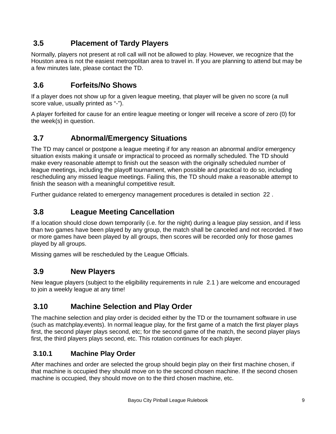### **3.5 Placement of Tardy Players**

Normally, players not present at roll call will not be allowed to play. However, we recognize that the Houston area is not the easiest metropolitan area to travel in. If you are planning to attend but may be a few minutes late, please contact the TD.

### **3.6 Forfeits/No Shows**

If a player does not show up for a given league meeting, that player will be given no score (a null score value, usually printed as "-").

A player forfeited for cause for an entire league meeting or longer will receive a score of zero (0) for the week(s) in question.

### **3.7 Abnormal/Emergency Situations**

The TD may cancel or postpone a league meeting if for any reason an abnormal and/or emergency situation exists making it unsafe or impractical to proceed as normally scheduled. The TD should make every reasonable attempt to finish out the season with the originally scheduled number of league meetings, including the playoff tournament, when possible and practical to do so, including rescheduling any missed league meetings. Failing this, the TD should make a reasonable attempt to finish the season with a meaningful competitive result.

Further guidance related to emergency management procedures is detailed in section [22](#page-38-0) .

### <span id="page-8-0"></span> **3.8 League Meeting Cancellation**

If a location should close down temporarily (i.e. for the night) during a league play session, and if less than two games have been played by any group, the match shall be canceled and not recorded. If two or more games have been played by all groups, then scores will be recorded only for those games played by all groups.

Missing games will be rescheduled by the League Officials.

#### **3.9 New Players**

New league players (subject to the eligibility requirements in rule [2.1 \)](#page-5-2) are welcome and encouraged to join a weekly league at any time!

### **3.10 Machine Selection and Play Order**

The machine selection and play order is decided either by the TD or the tournament software in use (such as matchplay.events). In normal league play, for the first game of a match the first player plays first, the second player plays second, etc; for the second game of the match, the second player plays first, the third players plays second, etc. This rotation continues for each player.

#### **3.10.1 Machine Play Order**

After machines and order are selected the group should begin play on their first machine chosen, if that machine is occupied they should move on to the second chosen machine. If the second chosen machine is occupied, they should move on to the third chosen machine, etc.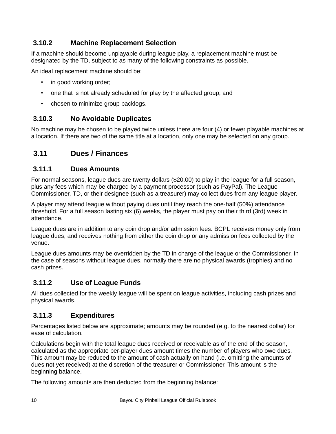### **3.10.2 Machine Replacement Selection**

If a machine should become unplayable during league play, a replacement machine must be designated by the TD, subject to as many of the following constraints as possible.

An ideal replacement machine should be:

- in good working order;
- one that is not already scheduled for play by the affected group; and
- chosen to minimize group backlogs.

#### **3.10.3 No Avoidable Duplicates**

No machine may be chosen to be played twice unless there are four (4) or fewer playable machines at a location. If there are two of the same title at a location, only one may be selected on any group.

#### **3.11 Dues / Finances**

#### **3.11.1 Dues Amounts**

For normal seasons, league dues are twenty dollars (\$20.00) to play in the league for a full season, plus any fees which may be charged by a payment processor (such as PayPal). The League Commissioner, TD, or their designee (such as a treasurer) may collect dues from any league player.

A player may attend league without paying dues until they reach the one-half (50%) attendance threshold. For a full season lasting six (6) weeks, the player must pay on their third (3rd) week in attendance.

League dues are in addition to any coin drop and/or admission fees. BCPL receives money only from league dues, and receives nothing from either the coin drop or any admission fees collected by the venue.

League dues amounts may be overridden by the TD in charge of the league or the Commissioner. In the case of seasons without league dues, normally there are no physical awards (trophies) and no cash prizes.

#### **3.11.2 Use of League Funds**

All dues collected for the weekly league will be spent on league activities, including cash prizes and physical awards.

#### **3.11.3 Expenditures**

Percentages listed below are approximate; amounts may be rounded (e.g. to the nearest dollar) for ease of calculation.

Calculations begin with the total league dues received or receivable as of the end of the season, calculated as the appropriate per-player dues amount times the number of players who owe dues. This amount may be reduced to the amount of cash actually on hand (i.e. omitting the amounts of dues not yet received) at the discretion of the treasurer or Commissioner. This amount is the beginning balance.

The following amounts are then deducted from the beginning balance: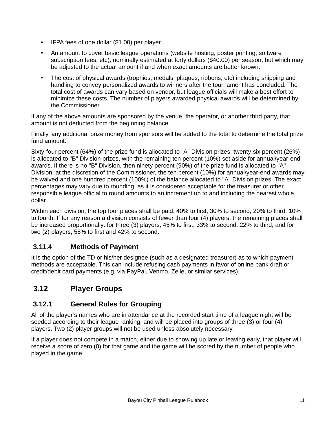- IFPA fees of one dollar (\$1.00) per player.
- An amount to cover basic league operations (website hosting, poster printing, software subscription fees, etc), nominally estimated at forty dollars (\$40.00) per season, but which may be adjusted to the actual amount if and when exact amounts are better known.
- The cost of physical awards (trophies, medals, plaques, ribbons, etc) including shipping and handling to convey personalized awards to winners after the tournament has concluded. The total cost of awards can vary based on vendor, but league officials will make a best effort to minimize these costs. The number of players awarded physical awards will be determined by the Commissioner.

If any of the above amounts are sponsored by the venue, the operator, or another third party, that amount is not deducted from the beginning balance.

Finally, any additional prize money from sponsors will be added to the total to determine the total prize fund amount.

Sixty-four percent (64%) of the prize fund is allocated to "A" Division prizes, twenty-six percent (26%) is allocated to "B" Division prizes, with the remaining ten percent (10%) set aside for annual/year-end awards. If there is no "B" Division, then ninety percent (90%) of the prize fund is allocated to "A" Division; at the discretion of the Commissioner, the ten percent (10%) for annual/year-end awards may be waived and one hundred percent (100%) of the balance allocated to "A" Division prizes. The exact percentages may vary due to rounding, as it is considered acceptable for the treasurer or other responsible league official to round amounts to an increment up to and including the nearest whole dollar.

Within each division, the top four places shall be paid: 40% to first, 30% to second, 20% to third, 10% to fourth. If for any reason a division consists of fewer than four (4) players, the remaining places shall be increased proportionally: for three (3) players, 45% to first, 33% to second, 22% to third; and for two (2) players, 58% to first and 42% to second.

#### **3.11.4 Methods of Payment**

It is the option of the TD or his/her designee (such as a designated treasurer) as to which payment methods are acceptable. This can include refusing cash payments in favor of online bank draft or credit/debit card payments (e.g. via PayPal, Venmo, Zelle, or similar services).

### **3.12 Player Groups**

#### **3.12.1 General Rules for Grouping**

All of the player's names who are in attendance at the recorded start time of a league night will be seeded according to their league ranking, and will be placed into groups of three (3) or four (4) players. Two (2) player groups will not be used unless absolutely necessary.

If a player does not compete in a match, either due to showing up late or leaving early, that player will receive a score of zero (0) for that game and the game will be scored by the number of people who played in the game.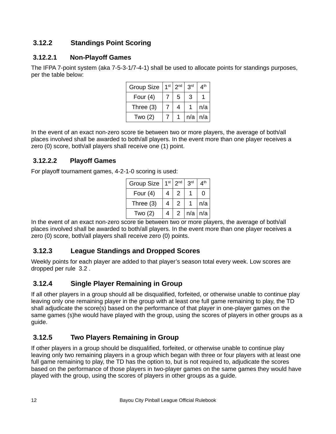### <span id="page-11-1"></span> **3.12.2 Standings Point Scoring**

#### **3.12.2.1 Non-Playoff Games**

The IFPA 7-point system (aka 7-5-3-1/7-4-1) shall be used to allocate points for standings purposes, per the table below:

| Group Size | $1st$   $2nd$   $3rd$ |   | $\Lambda$ <sup>th</sup> |
|------------|-----------------------|---|-------------------------|
| Four $(4)$ | 5                     | 3 |                         |
| Three (3)  | Δ                     |   | n/a                     |
| Two $(2)$  |                       |   | $n/a \mid n/a \mid$     |

In the event of an exact non-zero score tie between two or more players, the average of both/all places involved shall be awarded to both/all players. In the event more than one player receives a zero (0) score, both/all players shall receive one (1) point.

#### <span id="page-11-0"></span> **3.12.2.2 Playoff Games**

For playoff tournament games, 4-2-1-0 scoring is used:

| Group Size |   | $1st$ 2 <sup>nd</sup> | 3 <sup>rd</sup> | $\varLambda^{\text{th}}$ |
|------------|---|-----------------------|-----------------|--------------------------|
| Four $(4)$ |   | 2                     |                 | O                        |
| Three (3)  | 4 | 2                     |                 | n/a                      |
| Two $(2)$  | 4 | 2                     |                 | $n/a \mid n/a \mid$      |

In the event of an exact non-zero score tie between two or more players, the average of both/all places involved shall be awarded to both/all players. In the event more than one player receives a zero (0) score, both/all players shall receive zero (0) points.

### **3.12.3 League Standings and Dropped Scores**

Weekly points for each player are added to that player's season total every week. Low scores are dropped per rule [3.2](#page-7-1) .

### **3.12.4 Single Player Remaining in Group**

If all other players in a group should all be disqualified, forfeited, or otherwise unable to continue play leaving only one remaining player in the group with at least one full game remaining to play, the TD shall adjudicate the score(s) based on the performance of that player in one-player games on the same games (s)he would have played with the group, using the scores of players in other groups as a guide.

### **3.12.5 Two Players Remaining in Group**

If other players in a group should be disqualified, forfeited, or otherwise unable to continue play leaving only two remaining players in a group which began with three or four players with at least one full game remaining to play, the TD has the option to, but is not required to, adjudicate the scores based on the performance of those players in two-player games on the same games they would have played with the group, using the scores of players in other groups as a guide.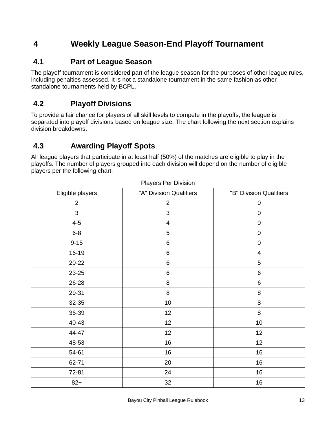# <span id="page-12-0"></span> **4 Weekly League Season-End Playoff Tournament**

### **4.1 Part of League Season**

The playoff tournament is considered part of the league season for the purposes of other league rules, including penalties assessed. It is not a standalone tournament in the same fashion as other standalone tournaments held by BCPL.

### **4.2 Playoff Divisions**

To provide a fair chance for players of all skill levels to compete in the playoffs, the league is separated into playoff divisions based on league size. The chart following the next section explains division breakdowns.

### **4.3 Awarding Playoff Spots**

All league players that participate in at least half (50%) of the matches are eligible to play in the playoffs. The number of players grouped into each division will depend on the number of eligible players per the following chart:

| <b>Players Per Division</b> |                         |                         |  |  |  |  |
|-----------------------------|-------------------------|-------------------------|--|--|--|--|
| Eligible players            | "A" Division Qualifiers | "B" Division Qualifiers |  |  |  |  |
| $\overline{2}$              | $\overline{2}$          | $\boldsymbol{0}$        |  |  |  |  |
| 3                           | 3                       | $\boldsymbol{0}$        |  |  |  |  |
| $4 - 5$                     | $\overline{4}$          | $\boldsymbol{0}$        |  |  |  |  |
| $6 - 8$                     | 5                       | $\boldsymbol{0}$        |  |  |  |  |
| $9 - 15$                    | $\,6$                   | $\boldsymbol{0}$        |  |  |  |  |
| $16-19$                     | $\,6$                   | 4                       |  |  |  |  |
| 20-22                       | $\,6$                   | 5                       |  |  |  |  |
| 23-25                       | $\,6$                   | $\,6\,$                 |  |  |  |  |
| 26-28                       | $\, 8$                  | $\,6\,$                 |  |  |  |  |
| 29-31                       | 8                       | $\, 8$                  |  |  |  |  |
| 32-35                       | $10\,$                  | $\, 8$                  |  |  |  |  |
| 36-39                       | 12                      | 8                       |  |  |  |  |
| 40-43                       | 12                      | 10                      |  |  |  |  |
| 44-47                       | 12                      | 12                      |  |  |  |  |
| 48-53                       | 16                      | 12                      |  |  |  |  |
| 54-61                       | 16                      | 16                      |  |  |  |  |
| 62-71                       | 20                      | 16                      |  |  |  |  |
| 72-81                       | 24                      | 16                      |  |  |  |  |
| $82+$                       | 32                      | 16                      |  |  |  |  |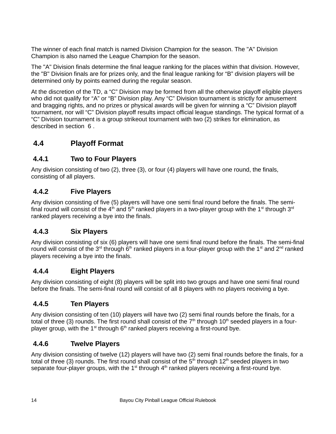The winner of each final match is named Division Champion for the season. The "A" Division Champion is also named the League Champion for the season.

The "A" Division finals determine the final league ranking for the places within that division. However, the "B" Division finals are for prizes only, and the final league ranking for "B" division players will be determined only by points earned during the regular season.

At the discretion of the TD, a "C" Division may be formed from all the otherwise playoff eligible players who did not qualify for "A" or "B" Division play. Any "C" Division tournament is strictly for amusement and bragging rights, and no prizes or physical awards will be given for winning a "C" Division playoff tournament, nor will "C" Division playoff results impact official league standings. The typical format of a "C" Division tournament is a group strikeout tournament with two (2) strikes for elimination, as described in section [6](#page-16-0) .

#### **4.4 Playoff Format**

#### **4.4.1 Two to Four Players**

Any division consisting of two (2), three (3), or four (4) players will have one round, the finals, consisting of all players.

#### **4.4.2 Five Players**

Any division consisting of five (5) players will have one semi final round before the finals. The semifinal round will consist of the 4<sup>th</sup> and 5<sup>th</sup> ranked players in a two-player group with the 1<sup>st</sup> through 3<sup>rd</sup> ranked players receiving a bye into the finals.

#### **4.4.3 Six Players**

Any division consisting of six (6) players will have one semi final round before the finals. The semi-final round will consist of the 3<sup>rd</sup> through 6<sup>th</sup> ranked players in a four-player group with the 1<sup>st</sup> and 2<sup>nd</sup> ranked players receiving a bye into the finals.

#### **4.4.4 Eight Players**

Any division consisting of eight (8) players will be split into two groups and have one semi final round before the finals. The semi-final round will consist of all 8 players with no players receiving a bye.

#### **4.4.5 Ten Players**

Any division consisting of ten (10) players will have two (2) semi final rounds before the finals, for a total of three (3) rounds. The first round shall consist of the  $7<sup>th</sup>$  through 10<sup>th</sup> seeded players in a fourplayer group, with the  $1<sup>st</sup>$  through  $6<sup>th</sup>$  ranked players receiving a first-round bye.

#### **4.4.6 Twelve Players**

Any division consisting of twelve (12) players will have two (2) semi final rounds before the finals, for a total of three (3) rounds. The first round shall consist of the  $5<sup>th</sup>$  through 12<sup>th</sup> seeded players in two separate four-player groups, with the  $1<sup>st</sup>$  through  $4<sup>th</sup>$  ranked players receiving a first-round bye.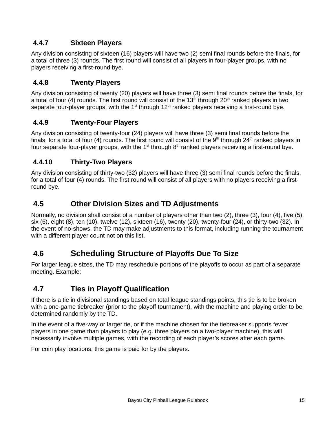#### **4.4.7 Sixteen Players**

Any division consisting of sixteen (16) players will have two (2) semi final rounds before the finals, for a total of three (3) rounds. The first round will consist of all players in four-player groups, with no players receiving a first-round bye.

#### **4.4.8 Twenty Players**

Any division consisting of twenty (20) players will have three (3) semi final rounds before the finals, for a total of four (4) rounds. The first round will consist of the  $13<sup>th</sup>$  through 20<sup>th</sup> ranked players in two separate four-player groups, with the  $1<sup>st</sup>$  through  $12<sup>th</sup>$  ranked players receiving a first-round bye.

#### **4.4.9 Twenty-Four Players**

Any division consisting of twenty-four (24) players will have three (3) semi final rounds before the finals, for a total of four (4) rounds. The first round will consist of the 9<sup>th</sup> through 24<sup>th</sup> ranked players in four separate four-player groups, with the  $1<sup>st</sup>$  through  $8<sup>th</sup>$  ranked players receiving a first-round bye.

#### **4.4.10 Thirty-Two Players**

Any division consisting of thirty-two (32) players will have three (3) semi final rounds before the finals, for a total of four (4) rounds. The first round will consist of all players with no players receiving a firstround bye.

#### **4.5 Other Division Sizes and TD Adjustments**

Normally, no division shall consist of a number of players other than two (2), three (3), four (4), five (5), six (6), eight (8), ten (10), twelve (12), sixteen (16), twenty (20), twenty-four (24), or thirty-two (32). In the event of no-shows, the TD may make adjustments to this format, including running the tournament with a different player count not on this list.

### **4.6 Scheduling Structure of Playoffs Due To Size**

For larger league sizes, the TD may reschedule portions of the playoffs to occur as part of a separate meeting. Example:

### **4.7 Ties in Playoff Qualification**

If there is a tie in divisional standings based on total league standings points, this tie is to be broken with a one-game tiebreaker (prior to the playoff tournament), with the machine and playing order to be determined randomly by the TD.

In the event of a five-way or larger tie, or if the machine chosen for the tiebreaker supports fewer players in one game than players to play (e.g. three players on a two-player machine), this will necessarily involve multiple games, with the recording of each player's scores after each game.

For coin play locations, this game is paid for by the players.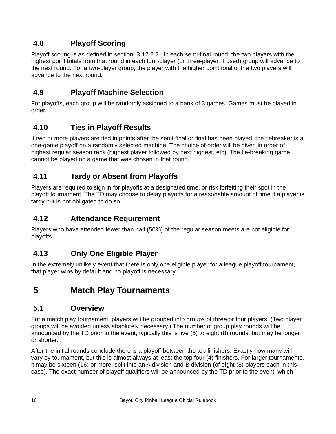### **4.8 Playoff Scoring**

Playoff scoring is as defined in section [3.12.2.2](#page-11-0) . In each semi-final round, the two players with the highest point totals from that round in each four-player (or three-player, if used) group will advance to the next round. For a two-player group, the player with the higher point total of the two players will advance to the next round.

### **4.9 Playoff Machine Selection**

For playoffs, each group will be randomly assigned to a bank of 3 games. Games must be played in order.

### **4.10 Ties in Playoff Results**

If two or more players are tied in points after the semi-final or final has been played, the tiebreaker is a one-game playoff on a randomly selected machine. The choice of order will be given in order of highest regular season rank (highest player followed by next highest, etc). The tie-breaking game cannot be played on a game that was chosen in that round.

### **4.11 Tardy or Absent from Playoffs**

Players are required to sign in for playoffs at a designated time, or risk forfeiting their spot in the playoff tournament. The TD may choose to delay playoffs for a reasonable amount of time if a player is tardy but is not obligated to do so.

#### **4.12 Attendance Requirement**

Players who have attended fewer than half (50%) of the regular season meets are not eligible for playoffs.

### **4.13 Only One Eligible Player**

In the extremely unlikely event that there is only one eligible player for a league playoff tournament, that player wins by default and no playoff is necessary.

# <span id="page-15-0"></span> **5 Match Play Tournaments**

#### **5.1 Overview**

For a match play tournament, players will be grouped into groups of three or four players. (Two player groups will be avoided unless absolutely necessary.) The number of group play rounds will be announced by the TD prior to the event; typically this is five (5) to eight (8) rounds, but may be longer or shorter.

After the initial rounds conclude there is a playoff between the top finishers. Exactly how many will vary by tournament, but this is almost always at least the top four (4) finishers. For larger tournaments, it may be sixteen (16) or more, split into an A division and B division (of eight (8) players each in this case). The exact number of playoff qualifiers will be announced by the TD prior to the event, which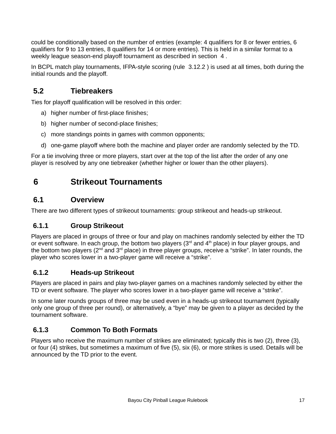could be conditionally based on the number of entries (example: 4 qualifiers for 8 or fewer entries, 6 qualifiers for 9 to 13 entries, 8 qualifiers for 14 or more entries). This is held in a similar format to a weekly league season-end playoff tournament as described in section [4](#page-12-0) .

In BCPL match play tournaments, IFPA-style scoring (rule [3.12.2](#page-11-1) ) is used at all times, both during the initial rounds and the playoff.

#### **5.2 Tiebreakers**

Ties for playoff qualification will be resolved in this order:

- a) higher number of first-place finishes;
- b) higher number of second-place finishes;
- c) more standings points in games with common opponents;
- d) one-game playoff where both the machine and player order are randomly selected by the TD.

For a tie involving three or more players, start over at the top of the list after the order of any one player is resolved by any one tiebreaker (whether higher or lower than the other players).

### <span id="page-16-0"></span> **6 Strikeout Tournaments**

#### **6.1 Overview**

There are two different types of strikeout tournaments: group strikeout and heads-up strikeout.

#### **6.1.1 Group Strikeout**

Players are placed in groups of three or four and play on machines randomly selected by either the TD or event software. In each group, the bottom two players ( $3<sup>rd</sup>$  and  $4<sup>th</sup>$  place) in four player groups, and the bottom two players ( $2<sup>nd</sup>$  and  $3<sup>rd</sup>$  place) in three player groups, receive a "strike". In later rounds, the player who scores lower in a two-player game will receive a "strike".

#### **6.1.2 Heads-up Strikeout**

Players are placed in pairs and play two-player games on a machines randomly selected by either the TD or event software. The player who scores lower in a two-player game will receive a "strike".

In some later rounds groups of three may be used even in a heads-up strikeout tournament (typically only one group of three per round), or alternatively, a "bye" may be given to a player as decided by the tournament software.

#### **6.1.3 Common To Both Formats**

Players who receive the maximum number of strikes are eliminated; typically this is two (2), three (3), or four (4) strikes, but sometimes a maximum of five (5), six (6), or more strikes is used. Details will be announced by the TD prior to the event.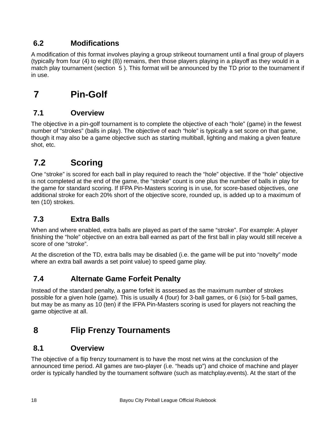### **6.2 Modifications**

A modification of this format involves playing a group strikeout tournament until a final group of players (typically from four (4) to eight (8)) remains, then those players playing in a playoff as they would in a match play tournament (section 5). This format will be announced by the TD prior to the tournament if in use.

# <span id="page-17-1"></span> **7 Pin-Golf**

### **7.1 Overview**

The objective in a pin-golf tournament is to complete the objective of each "hole" (game) in the fewest number of "strokes" (balls in play). The objective of each "hole" is typically a set score on that game, though it may also be a game objective such as starting multiball, lighting and making a given feature shot, etc.

# **7.2 Scoring**

One "stroke" is scored for each ball in play required to reach the "hole" objective. If the "hole" objective is not completed at the end of the game, the "stroke" count is one plus the number of balls in play for the game for standard scoring. If IFPA Pin-Masters scoring is in use, for score-based objectives, one additional stroke for each 20% short of the objective score, rounded up, is added up to a maximum of ten (10) strokes.

### **7.3 Extra Balls**

When and where enabled, extra balls are played as part of the same "stroke". For example: A player finishing the "hole" objective on an extra ball earned as part of the first ball in play would still receive a score of one "stroke".

At the discretion of the TD, extra balls may be disabled (i.e. the game will be put into "novelty" mode where an extra ball awards a set point value) to speed game play.

### **7.4 Alternate Game Forfeit Penalty**

Instead of the standard penalty, a game forfeit is assessed as the maximum number of strokes possible for a given hole (game). This is usually 4 (four) for 3-ball games, or 6 (six) for 5-ball games, but may be as many as 10 (ten) if the IFPA Pin-Masters scoring is used for players not reaching the game objective at all.

# <span id="page-17-0"></span> **8 Flip Frenzy Tournaments**

#### **8.1 Overview**

The objective of a flip frenzy tournament is to have the most net wins at the conclusion of the announced time period. All games are two-player (i.e. "heads up") and choice of machine and player order is typically handled by the tournament software (such as matchplay.events). At the start of the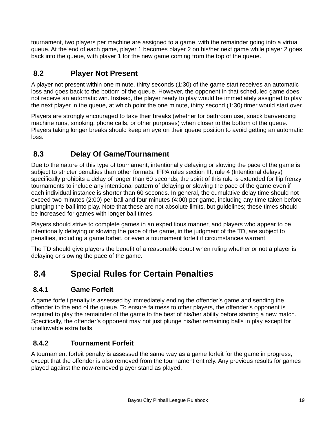tournament, two players per machine are assigned to a game, with the remainder going into a virtual queue. At the end of each game, player 1 becomes player 2 on his/her next game while player 2 goes back into the queue, with player 1 for the new game coming from the top of the queue.

### **8.2 Player Not Present**

A player not present within one minute, thirty seconds (1:30) of the game start receives an automatic loss and goes back to the bottom of the queue. However, the opponent in that scheduled game does not receive an automatic win. Instead, the player ready to play would be immediately assigned to play the next player in the queue, at which point the one minute, thirty second (1:30) timer would start over.

Players are strongly encouraged to take their breaks (whether for bathroom use, snack bar/vending machine runs, smoking, phone calls, or other purposes) when closer to the bottom of the queue. Players taking longer breaks should keep an eye on their queue position to avoid getting an automatic loss.

### **8.3 Delay Of Game/Tournament**

Due to the nature of this type of tournament, intentionally delaying or slowing the pace of the game is subject to stricter penalties than other formats. IFPA rules section III, rule 4 (Intentional delays) specifically prohibits a delay of longer than 60 seconds; the spirit of this rule is extended for flip frenzy tournaments to include any intentional pattern of delaying or slowing the pace of the game even if each individual instance is shorter than 60 seconds. In general, the cumulative delay time should not exceed two minutes (2:00) per ball and four minutes (4:00) per game, including any time taken before plunging the ball into play. Note that these are not absolute limits, but guidelines; these times should be increased for games with longer ball times.

Players should strive to complete games in an expeditious manner, and players who appear to be intentionally delaying or slowing the pace of the game, in the judgment of the TD, are subject to penalties, including a game forfeit, or even a tournament forfeit if circumstances warrant.

The TD should give players the benefit of a reasonable doubt when ruling whether or not a player is delaying or slowing the pace of the game.

# **8.4 Special Rules for Certain Penalties**

#### **8.4.1 Game Forfeit**

A game forfeit penalty is assessed by immediately ending the offender's game and sending the offender to the end of the queue. To ensure fairness to other players, the offender's opponent is required to play the remainder of the game to the best of his/her ability before starting a new match. Specifically, the offender's opponent may not just plunge his/her remaining balls in play except for unallowable extra balls.

### **8.4.2 Tournament Forfeit**

A tournament forfeit penalty is assessed the same way as a game forfeit for the game in progress, except that the offender is also removed from the tournament entirely. Any previous results for games played against the now-removed player stand as played.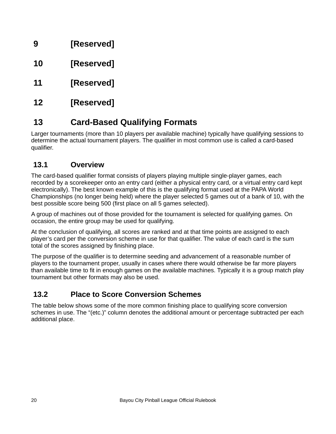- <span id="page-19-4"></span> **9 [Reserved]**
- <span id="page-19-3"></span> **10 [Reserved]**
- <span id="page-19-2"></span> **11 [Reserved]**
- <span id="page-19-1"></span> **12 [Reserved]**

# <span id="page-19-0"></span> **13 Card-Based Qualifying Formats**

Larger tournaments (more than 10 players per available machine) typically have qualifying sessions to determine the actual tournament players. The qualifier in most common use is called a card-based qualifier.

#### **13.1 Overview**

The card-based qualifier format consists of players playing multiple single-player games, each recorded by a scorekeeper onto an entry card (either a physical entry card, or a virtual entry card kept electronically). The best known example of this is the qualifying format used at the PAPA World Championships (no longer being held) where the player selected 5 games out of a bank of 10, with the best possible score being 500 (first place on all 5 games selected).

A group of machines out of those provided for the tournament is selected for qualifying games. On occasion, the entire group may be used for qualifying.

At the conclusion of qualifying, all scores are ranked and at that time points are assigned to each player's card per the conversion scheme in use for that qualifier. The value of each card is the sum total of the scores assigned by finishing place.

The purpose of the qualifier is to determine seeding and advancement of a reasonable number of players to the tournament proper, usually in cases where there would otherwise be far more players than available time to fit in enough games on the available machines. Typically it is a group match play tournament but other formats may also be used.

### **13.2 Place to Score Conversion Schemes**

The table below shows some of the more common finishing place to qualifying score conversion schemes in use. The "(etc.)" column denotes the additional amount or percentage subtracted per each additional place.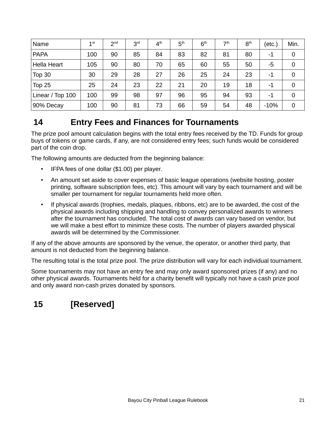| Name               | 1 <sup>st</sup> | 2 <sub>nd</sub> | 3 <sup>rd</sup> | 4 <sup>th</sup> | 5 <sup>th</sup> | 6 <sup>th</sup> | 7 <sup>th</sup> | 8 <sup>th</sup> | (etc.) | Min.           |
|--------------------|-----------------|-----------------|-----------------|-----------------|-----------------|-----------------|-----------------|-----------------|--------|----------------|
| <b>PAPA</b>        | 100             | 90              | 85              | 84              | 83              | 82              | 81              | 80              | -1     | 0              |
| <b>Hella Heart</b> | 105             | 90              | 80              | 70              | 65              | 60              | 55              | 50              | $-5$   | $\overline{0}$ |
| Top 30             | 30              | 29              | 28              | 27              | 26              | 25              | 24              | 23              | -1     | 0              |
| Top 25             | 25              | 24              | 23              | 22              | 21              | 20              | 19              | 18              | -1     | 0              |
| Linear / Top 100   | 100             | 99              | 98              | 97              | 96              | 95              | 94              | 93              | -1     | 0              |
| 90% Decay          | 100             | 90              | 81              | 73              | 66              | 59              | 54              | 48              | $-10%$ | 0              |

# <span id="page-20-1"></span> **14 Entry Fees and Finances for Tournaments**

The prize pool amount calculation begins with the total entry fees received by the TD. Funds for group buys of tokens or game cards, if any, are not considered entry fees; such funds would be considered part of the coin drop.

The following amounts are deducted from the beginning balance:

- IFPA fees of one dollar (\$1.00) per player.
- An amount set aside to cover expenses of basic league operations (website hosting, poster printing, software subscription fees, etc). This amount will vary by each tournament and will be smaller per tournament for regular tournaments held more often.
- If physical awards (trophies, medals, plaques, ribbons, etc) are to be awarded, the cost of the physical awards including shipping and handling to convey personalized awards to winners after the tournament has concluded. The total cost of awards can vary based on vendor, but we will make a best effort to minimize these costs. The number of players awarded physical awards will be determined by the Commissioner.

If any of the above amounts are sponsored by the venue, the operator, or another third party, that amount is not deducted from the beginning balance.

The resulting total is the total prize pool. The prize distribution will vary for each individual tournament.

Some tournaments may not have an entry fee and may only award sponsored prizes (if any) and no other physical awards. Tournaments held for a charity benefit will typically not have a cash prize pool and only award non-cash prizes donated by sponsors.

# <span id="page-20-0"></span> **15 [Reserved]**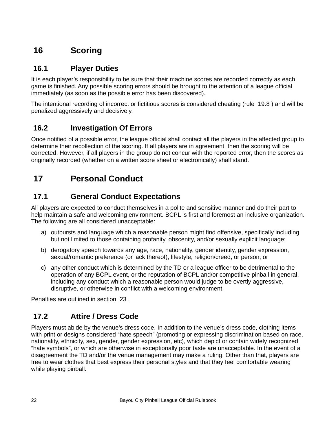# <span id="page-21-1"></span> **16 Scoring**

### **16.1 Player Duties**

It is each player's responsibility to be sure that their machine scores are recorded correctly as each game is finished. Any possible scoring errors should be brought to the attention of a league official immediately (as soon as the possible error has been discovered).

The intentional recording of incorrect or fictitious scores is considered cheating (rule [19.8 \)](#page-30-0) and will be penalized aggressively and decisively.

### **16.2 Investigation Of Errors**

Once notified of a possible error, the league official shall contact all the players in the affected group to determine their recollection of the scoring. If all players are in agreement, then the scoring will be corrected. However, if all players in the group do not concur with the reported error, then the scores as originally recorded (whether on a written score sheet or electronically) shall stand.

# <span id="page-21-0"></span> **17 Personal Conduct**

### <span id="page-21-2"></span> **17.1 General Conduct Expectations**

All players are expected to conduct themselves in a polite and sensitive manner and do their part to help maintain a safe and welcoming environment. BCPL is first and foremost an inclusive organization. The following are all considered unacceptable:

- a) outbursts and language which a reasonable person might find offensive, specifically including but not limited to those containing profanity, obscenity, and/or sexually explicit language;
- b) derogatory speech towards any age, race, nationality, gender identity, gender expression, sexual/romantic preference (or lack thereof), lifestyle, religion/creed, or person; or
- c) any other conduct which is determined by the TD or a league officer to be detrimental to the operation of any BCPL event, or the reputation of BCPL and/or competitive pinball in general, including any conduct which a reasonable person would judge to be overtly aggressive, disruptive, or otherwise in conflict with a welcoming environment.

Penalties are outlined in section [23](#page-39-0) .

# **17.2 Attire / Dress Code**

Players must abide by the venue's dress code. In addition to the venue's dress code, clothing items with print or designs considered "hate speech" (promoting or expressing discrimination based on race, nationality, ethnicity, sex, gender, gender expression, etc), which depict or contain widely recognized "hate symbols", or which are otherwise in exceptionally poor taste are unacceptable. In the event of a disagreement the TD and/or the venue management may make a ruling. Other than that, players are free to wear clothes that best express their personal styles and that they feel comfortable wearing while playing pinball.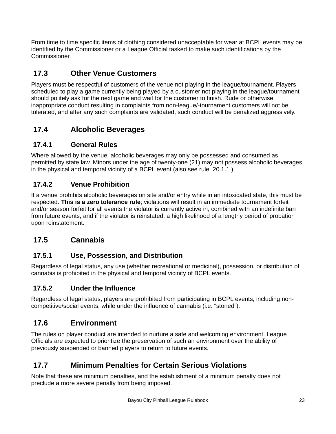From time to time specific items of clothing considered unacceptable for wear at BCPL events may be identified by the Commissioner or a League Official tasked to make such identifications by the Commissioner.

### **17.3 Other Venue Customers**

Players must be respectful of customers of the venue not playing in the league/tournament. Players scheduled to play a game currently being played by a customer not playing in the league/tournament should politely ask for the next game and wait for the customer to finish. Rude or otherwise inappropriate conduct resulting in complaints from non-league/-tournament customers will not be tolerated, and after any such complaints are validated, such conduct will be penalized aggressively.

### **17.4 Alcoholic Beverages**

#### **17.4.1 General Rules**

Where allowed by the venue, alcoholic beverages may only be possessed and consumed as permitted by state law. Minors under the age of twenty-one (21) may not possess alcoholic beverages in the physical and temporal vicinity of a BCPL event (also see rule [20.1.1](#page-31-1) ).

#### **17.4.2 Venue Prohibition**

If a venue prohibits alcoholic beverages on site and/or entry while in an intoxicated state, this must be respected. **This is a zero tolerance rule**; violations will result in an immediate tournament forfeit and/or season forfeit for all events the violator is currently active in, combined with an indefinite ban from future events, and if the violator is reinstated, a high likelihood of a lengthy period of probation upon reinstatement.

### **17.5 Cannabis**

#### **17.5.1 Use, Possession, and Distribution**

Regardless of legal status, any use (whether recreational or medicinal), possession, or distribution of cannabis is prohibited in the physical and temporal vicinity of BCPL events.

#### **17.5.2 Under the Influence**

Regardless of legal status, players are prohibited from participating in BCPL events, including noncompetitive/social events, while under the influence of cannabis (i.e. "stoned").

### **17.6 Environment**

The rules on player conduct are intended to nurture a safe and welcoming environment. League Officials are expected to prioritize the preservation of such an environment over the ability of previously suspended or banned players to return to future events.

### **17.7 Minimum Penalties for Certain Serious Violations**

Note that these are minimum penalties, and the establishment of a minimum penalty does not preclude a more severe penalty from being imposed.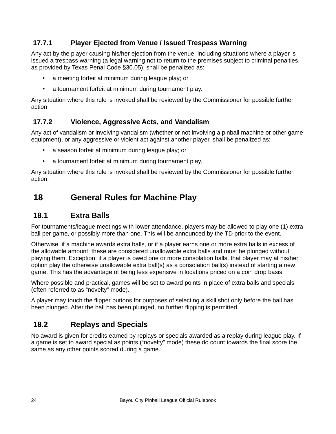#### **17.7.1 Player Ejected from Venue / Issued Trespass Warning**

Any act by the player causing his/her ejection from the venue, including situations where a player is issued a trespass warning (a legal warning not to return to the premises subject to criminal penalties, as provided by Texas Penal Code §30.05), shall be penalized as:

- a meeting forfeit at minimum during league play; or
- a tournament forfeit at minimum during tournament play.

Any situation where this rule is invoked shall be reviewed by the Commissioner for possible further action.

#### **17.7.2 Violence, Aggressive Acts, and Vandalism**

Any act of vandalism or involving vandalism (whether or not involving a pinball machine or other game equipment), or any aggressive or violent act against another player, shall be penalized as:

- a season forfeit at minimum during league play; or
- a tournament forfeit at minimum during tournament play.

Any situation where this rule is invoked shall be reviewed by the Commissioner for possible further action.

### <span id="page-23-0"></span> **18 General Rules for Machine Play**

#### **18.1 Extra Balls**

For tournaments/league meetings with lower attendance, players may be allowed to play one (1) extra ball per game, or possibly more than one. This will be announced by the TD prior to the event.

Otherwise, if a machine awards extra balls, or if a player earns one or more extra balls in excess of the allowable amount, these are considered unallowable extra balls and must be plunged without playing them. Exception: if a player is owed one or more consolation balls, that player may at his/her option play the otherwise unallowable extra ball(s) as a consolation ball(s) instead of starting a new game. This has the advantage of being less expensive in locations priced on a coin drop basis.

Where possible and practical, games will be set to award points in place of extra balls and specials (often referred to as "novelty" mode).

A player may touch the flipper buttons for purposes of selecting a skill shot only before the ball has been plunged. After the ball has been plunged, no further flipping is permitted.

### **18.2 Replays and Specials**

No award is given for credits earned by replays or specials awarded as a replay during league play. If a game is set to award special as points ("novelty" mode) these do count towards the final score the same as any other points scored during a game.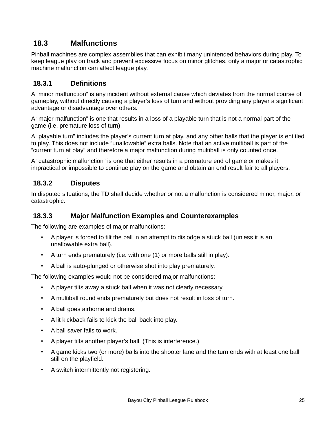### **18.3 Malfunctions**

Pinball machines are complex assemblies that can exhibit many unintended behaviors during play. To keep league play on track and prevent excessive focus on minor glitches, only a major or catastrophic machine malfunction can affect league play.

#### **18.3.1 Definitions**

A "minor malfunction" is any incident without external cause which deviates from the normal course of gameplay, without directly causing a player's loss of turn and without providing any player a significant advantage or disadvantage over others.

A "major malfunction" is one that results in a loss of a playable turn that is not a normal part of the game (i.e. premature loss of turn).

A "playable turn" includes the player's current turn at play, and any other balls that the player is entitled to play. This does not include "unallowable" extra balls. Note that an active multiball is part of the "current turn at play" and therefore a major malfunction during multiball is only counted once.

A "catastrophic malfunction" is one that either results in a premature end of game or makes it impractical or impossible to continue play on the game and obtain an end result fair to all players.

#### **18.3.2 Disputes**

In disputed situations, the TD shall decide whether or not a malfunction is considered minor, major, or catastrophic.

#### **18.3.3 Major Malfunction Examples and Counterexamples**

The following are examples of major malfunctions:

- <span id="page-24-0"></span>• A player is forced to tilt the ball in an attempt to dislodge a stuck ball (unless it is an unallowable extra ball).
- A turn ends prematurely (i.e. with one (1) or more balls still in play).
- A ball is auto-plunged or otherwise shot into play prematurely.

The following examples would not be considered major malfunctions:

- A player tilts away a stuck ball when it was not clearly necessary.
- A multiball round ends prematurely but does not result in loss of turn.
- A ball goes airborne and drains.
- A lit kickback fails to kick the ball back into play.
- A ball saver fails to work.
- A player tilts another player's ball. (This is interference.)
- A game kicks two (or more) balls into the shooter lane and the turn ends with at least one ball still on the playfield.
- A switch intermittently not registering.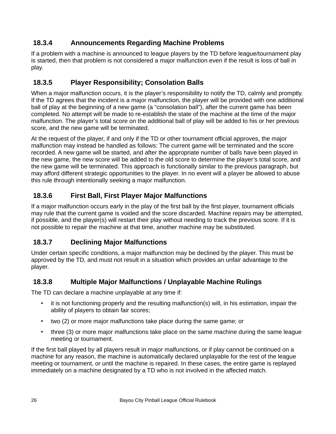### **18.3.4 Announcements Regarding Machine Problems**

If a problem with a machine is announced to league players by the TD before league/tournament play is started, then that problem is not considered a major malfunction even if the result is loss of ball in play.

#### **18.3.5 Player Responsibility; Consolation Balls**

When a major malfunction occurs, it is the player's responsibility to notify the TD, calmly and promptly. If the TD agrees that the incident is a major malfunction, the player will be provided with one additional ball of play at the beginning of a new game (a "consolation ball"), after the current game has been completed. No attempt will be made to re-establish the state of the machine at the time of the major malfunction. The player's total score on the additional ball of play will be added to his or her previous score, and the new game will be terminated.

At the request of the player, if and only if the TD or other tournament official approves, the major malfunction may instead be handled as follows: The current game will be terminated and the score recorded. A new game will be started, and after the appropriate number of balls have been played in the new game, the new score will be added to the old score to determine the player's total score, and the new game will be terminated. This approach is functionally similar to the previous paragraph, but may afford different strategic opportunities to the player. In no event will a player be allowed to abuse this rule through intentionally seeking a major malfunction.

#### **18.3.6 First Ball, First Player Major Malfunctions**

If a major malfunction occurs early in the play of the first ball by the first player, tournament officials may rule that the current game is voided and the score discarded. Machine repairs may be attempted, if possible, and the player(s) will restart their play without needing to track the previous score. If it is not possible to repair the machine at that time, another machine may be substituted.

#### **18.3.7 Declining Major Malfunctions**

Under certain specific conditions, a major malfunction may be declined by the player. This must be approved by the TD, and must not result in a situation which provides an unfair advantage to the player.

#### **18.3.8 Multiple Major Malfunctions / Unplayable Machine Rulings**

The TD can declare a machine unplayable at any time if:

- it is not functioning properly and the resulting malfunction(s) will, in his estimation, impair the ability of players to obtain fair scores;
- two (2) or more major malfunctions take place during the same game; or
- three (3) or more major malfunctions take place on the same machine during the same league meeting or tournament.

If the first ball played by all players result in major malfunctions, or if play cannot be continued on a machine for any reason, the machine is automatically declared unplayable for the rest of the league meeting or tournament, or until the machine is repaired. In these cases, the entire game is replayed immediately on a machine designated by a TD who is not involved in the affected match.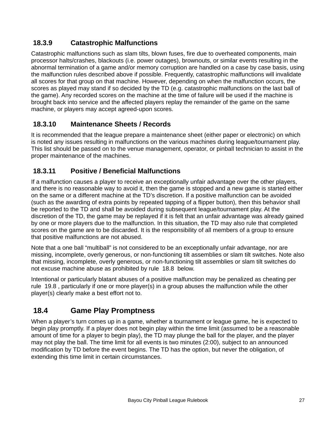### <span id="page-26-0"></span> **18.3.9 Catastrophic Malfunctions**

Catastrophic malfunctions such as slam tilts, blown fuses, fire due to overheated components, main processor halts/crashes, blackouts (i.e. power outages), brownouts, or similar events resulting in the abnormal termination of a game and/or memory corruption are handled on a case by case basis, using the malfunction rules described above if possible. Frequently, catastrophic malfunctions will invalidate all scores for that group on that machine. However, depending on when the malfunction occurs, the scores as played may stand if so decided by the TD (e.g. catastrophic malfunctions on the last ball of the game). Any recorded scores on the machine at the time of failure will be used if the machine is brought back into service and the affected players replay the remainder of the game on the same machine, or players may accept agreed-upon scores.

#### **18.3.10 Maintenance Sheets / Records**

It is recommended that the league prepare a maintenance sheet (either paper or electronic) on which is noted any issues resulting in malfunctions on the various machines during league/tournament play. This list should be passed on to the venue management, operator, or pinball technician to assist in the proper maintenance of the machines.

#### **18.3.11 Positive / Beneficial Malfunctions**

If a malfunction causes a player to receive an exceptionally unfair advantage over the other players, and there is no reasonable way to avoid it, then the game is stopped and a new game is started either on the same or a different machine at the TD's discretion. If a positive malfunction can be avoided (such as the awarding of extra points by repeated tapping of a flipper button), then this behavior shall be reported to the TD and shall be avoided during subsequent league/tournament play. At the discretion of the TD, the game may be replayed if it is felt that an unfair advantage was already gained by one or more players due to the malfunction. In this situation, the TD may also rule that completed scores on the game are to be discarded. It is the responsibility of all members of a group to ensure that positive malfunctions are not abused.

Note that a one ball "multiball" is not considered to be an exceptionally unfair advantage, nor are missing, incomplete, overly generous, or non-functioning tilt assemblies or slam tilt switches. Note also that missing, incomplete, overly generous, or non-functioning tilt assemblies or slam tilt switches do not excuse machine abuse as prohibited by rule [18.8](#page-27-1) below.

Intentional or particularly blatant abuses of a positive malfunction may be penalized as cheating per rule [19.8 ,](#page-30-0) particularly if one or more player(s) in a group abuses the malfunction while the other player(s) clearly make a best effort not to.

#### **18.4 Game Play Promptness**

When a player's turn comes up in a game, whether a tournament or league game, he is expected to begin play promptly. If a player does not begin play within the time limit (assumed to be a reasonable amount of time for a player to begin play), the TD may plunge the ball for the player, and the player may not play the ball. The time limit for all events is two minutes (2:00), subject to an announced modification by TD before the event begins. The TD has the option, but never the obligation, of extending this time limit in certain circumstances.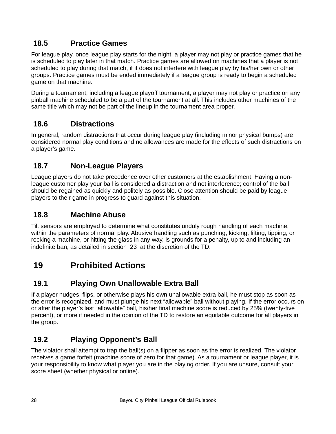### **18.5 Practice Games**

For league play, once league play starts for the night, a player may not play or practice games that he is scheduled to play later in that match. Practice games are allowed on machines that a player is not scheduled to play during that match, if it does not interfere with league play by his/her own or other groups. Practice games must be ended immediately if a league group is ready to begin a scheduled game on that machine.

During a tournament, including a league playoff tournament, a player may not play or practice on any pinball machine scheduled to be a part of the tournament at all. This includes other machines of the same title which may not be part of the lineup in the tournament area proper.

### **18.6 Distractions**

In general, random distractions that occur during league play (including minor physical bumps) are considered normal play conditions and no allowances are made for the effects of such distractions on a player's game.

### **18.7 Non-League Players**

League players do not take precedence over other customers at the establishment. Having a nonleague customer play your ball is considered a distraction and not interference; control of the ball should be regained as quickly and politely as possible. Close attention should be paid by league players to their game in progress to guard against this situation.

### <span id="page-27-1"></span> **18.8 Machine Abuse**

Tilt sensors are employed to determine what constitutes unduly rough handling of each machine, within the parameters of normal play. Abusive handling such as punching, kicking, lifting, tipping, or rocking a machine, or hitting the glass in any way, is grounds for a penalty, up to and including an indefinite ban, as detailed in section [23](#page-39-0) at the discretion of the TD.

# <span id="page-27-0"></span> **19 Prohibited Actions**

### **19.1 Playing Own Unallowable Extra Ball**

If a player nudges, flips, or otherwise plays his own unallowable extra ball, he must stop as soon as the error is recognized, and must plunge his next "allowable" ball without playing. If the error occurs on or after the player's last "allowable" ball, his/her final machine score is reduced by 25% (twenty-five percent), or more if needed in the opinion of the TD to restore an equitable outcome for all players in the group.

### **19.2 Playing Opponent's Ball**

The violator shall attempt to trap the ball(s) on a flipper as soon as the error is realized. The violator receives a game forfeit (machine score of zero for that game). As a tournament or league player, it is your responsibility to know what player you are in the playing order. If you are unsure, consult your score sheet (whether physical or online).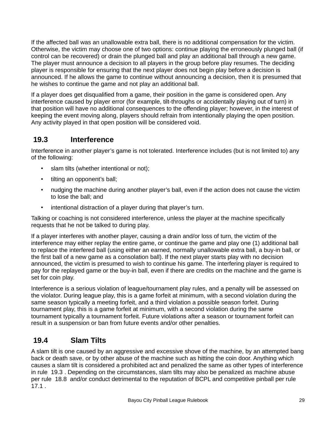If the affected ball was an unallowable extra ball, there is no additional compensation for the victim. Otherwise, the victim may choose one of two options: continue playing the erroneously plunged ball (if control can be recovered) or drain the plunged ball and play an additional ball through a new game. The player must announce a decision to all players in the group before play resumes. The deciding player is responsible for ensuring that the next player does not begin play before a decision is announced. If he allows the game to continue without announcing a decision, then it is presumed that he wishes to continue the game and not play an additional ball.

If a player does get disqualified from a game, their position in the game is considered open. Any interference caused by player error (for example, tilt-throughs or accidentally playing out of turn) in that position will have no additional consequences to the offending player; however, in the interest of keeping the event moving along, players should refrain from intentionally playing the open position. Any activity played in that open position will be considered void.

### <span id="page-28-0"></span> **19.3 Interference**

Interference in another player's game is not tolerated. Interference includes (but is not limited to) any of the following:

- slam tilts (whether intentional or not);
- tilting an opponent's ball;
- nudging the machine during another player's ball, even if the action does not cause the victim to lose the ball; and
- intentional distraction of a player during that player's turn.

Talking or coaching is not considered interference, unless the player at the machine specifically requests that he not be talked to during play.

If a player interferes with another player, causing a drain and/or loss of turn, the victim of the interference may either replay the entire game, or continue the game and play one (1) additional ball to replace the interfered ball (using either an earned, normally unallowable extra ball, a buy-in ball, or the first ball of a new game as a consolation ball). If the next player starts play with no decision announced, the victim is presumed to wish to continue his game. The interfering player is required to pay for the replayed game or the buy-in ball, even if there are credits on the machine and the game is set for coin play.

Interference is a serious violation of league/tournament play rules, and a penalty will be assessed on the violator. During league play, this is a game forfeit at minimum, with a second violation during the same season typically a meeting forfeit, and a third violation a possible season forfeit. During tournament play, this is a game forfeit at minimum, with a second violation during the same tournament typically a tournament forfeit. Future violations after a season or tournament forfeit can result in a suspension or ban from future events and/or other penalties.

### **19.4 Slam Tilts**

A slam tilt is one caused by an aggressive and excessive shove of the machine, by an attempted bang back or death save, or by other abuse of the machine such as hitting the coin door. Anything which causes a slam tilt is considered a prohibited act and penalized the same as other types of interference in rule [19.3](#page-28-0) . Depending on the circumstances, slam tilts may also be penalized as machine abuse per rule [18.8](#page-27-1) and/or conduct detrimental to the reputation of BCPL and competitive pinball per rule [17.1](#page-21-2) .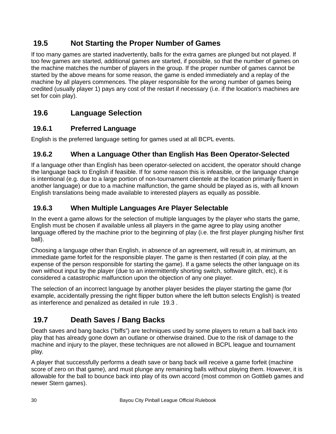### **19.5 Not Starting the Proper Number of Games**

If too many games are started inadvertently, balls for the extra games are plunged but not played. If too few games are started, additional games are started, if possible, so that the number of games on the machine matches the number of players in the group. If the proper number of games cannot be started by the above means for some reason, the game is ended immediately and a replay of the machine by all players commences. The player responsible for the wrong number of games being credited (usually player 1) pays any cost of the restart if necessary (i.e. if the location's machines are set for coin play).

### <span id="page-29-0"></span> **19.6 Language Selection**

### **19.6.1 Preferred Language**

English is the preferred language setting for games used at all BCPL events.

### **19.6.2 When a Language Other than English Has Been Operator-Selected**

If a language other than English has been operator-selected on accident, the operator should change the language back to English if feasible. If for some reason this is infeasible, or the language change is intentional (e.g. due to a large portion of non-tournament clientele at the location primarily fluent in another language) or due to a machine malfunction, the game should be played as is, with all known English translations being made available to interested players as equally as possible.

### **19.6.3 When Multiple Languages Are Player Selectable**

In the event a game allows for the selection of multiple languages by the player who starts the game, English must be chosen if available unless all players in the game agree to play using another language offered by the machine prior to the beginning of play (i.e. the first player plunging his/her first ball).

Choosing a language other than English, in absence of an agreement, will result in, at minimum, an immediate game forfeit for the responsible player. The game is then restarted (if coin play, at the expense of the person responsible for starting the game). If a game selects the other language on its own without input by the player (due to an intermittently shorting switch, software glitch, etc), it is considered a catastrophic malfunction upon the objection of any one player.

The selection of an incorrect language by another player besides the player starting the game (for example, accidentally pressing the right flipper button where the left button selects English) is treated as interference and penalized as detailed in rule [19.3](#page-28-0) .

# **19.7 Death Saves / Bang Backs**

Death saves and bang backs ("biffs") are techniques used by some players to return a ball back into play that has already gone down an outlane or otherwise drained. Due to the risk of damage to the machine and injury to the player, these techniques are not allowed in BCPL league and tournament play.

A player that successfully performs a death save or bang back will receive a game forfeit (machine score of zero on that game), and must plunge any remaining balls without playing them. However, it is allowable for the ball to bounce back into play of its own accord (most common on Gottlieb games and newer Stern games).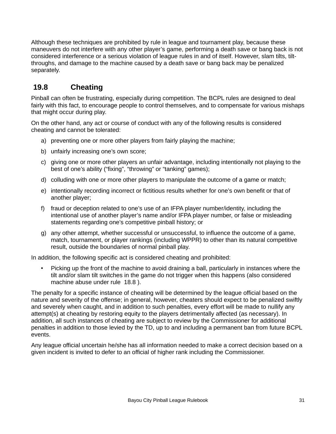Although these techniques are prohibited by rule in league and tournament play, because these maneuvers do not interfere with any other player's game, performing a death save or bang back is not considered interference or a serious violation of league rules in and of itself. However, slam tilts, tiltthroughs, and damage to the machine caused by a death save or bang back may be penalized separately.

### <span id="page-30-0"></span> **19.8 Cheating**

Pinball can often be frustrating, especially during competition. The BCPL rules are designed to deal fairly with this fact, to encourage people to control themselves, and to compensate for various mishaps that might occur during play.

On the other hand, any act or course of conduct with any of the following results is considered cheating and cannot be tolerated:

- a) preventing one or more other players from fairly playing the machine;
- b) unfairly increasing one's own score;
- c) giving one or more other players an unfair advantage, including intentionally not playing to the best of one's ability ("fixing", "throwing" or "tanking" games);
- d) colluding with one or more other players to manipulate the outcome of a game or match;
- e) intentionally recording incorrect or fictitious results whether for one's own benefit or that of another player;
- f) fraud or deception related to one's use of an IFPA player number/identity, including the intentional use of another player's name and/or IFPA player number, or false or misleading statements regarding one's competitive pinball history; or
- g) any other attempt, whether successful or unsuccessful, to influence the outcome of a game, match, tournament, or player rankings (including WPPR) to other than its natural competitive result, outside the boundaries of normal pinball play.

In addition, the following specific act is considered cheating and prohibited:

• Picking up the front of the machine to avoid draining a ball, particularly in instances where the tilt and/or slam tilt switches in the game do not trigger when this happens (also considered machine abuse under rule [18.8 \)](#page-27-1).

The penalty for a specific instance of cheating will be determined by the league official based on the nature and severity of the offense; in general, however, cheaters should expect to be penalized swiftly and severely when caught, and in addition to such penalties, every effort will be made to nullify any attempt(s) at cheating by restoring equity to the players detrimentally affected (as necessary). In addition, all such instances of cheating are subject to review by the Commissioner for additional penalties in addition to those levied by the TD, up to and including a permanent ban from future BCPL events.

Any league official uncertain he/she has all information needed to make a correct decision based on a given incident is invited to defer to an official of higher rank including the Commissioner.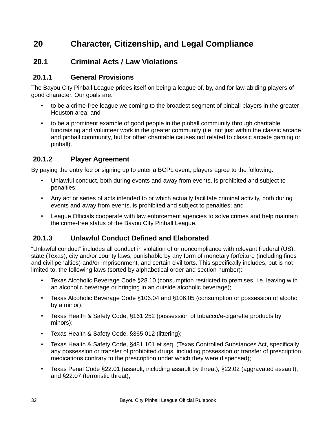# <span id="page-31-0"></span> **20 Character, Citizenship, and Legal Compliance**

### <span id="page-31-3"></span> **20.1 Criminal Acts / Law Violations**

#### <span id="page-31-1"></span> **20.1.1 General Provisions**

The Bayou City Pinball League prides itself on being a league of, by, and for law-abiding players of good character. Our goals are:

- to be a crime-free league welcoming to the broadest segment of pinball players in the greater Houston area; and
- to be a prominent example of good people in the pinball community through charitable fundraising and volunteer work in the greater community (i.e. not just within the classic arcade and pinball community, but for other charitable causes not related to classic arcade gaming or pinball).

#### **20.1.2 Player Agreement**

By paying the entry fee or signing up to enter a BCPL event, players agree to the following:

- Unlawful conduct, both during events and away from events, is prohibited and subject to penalties;
- Any act or series of acts intended to or which actually facilitate criminal activity, both during events and away from events, is prohibited and subject to penalties; and
- <span id="page-31-2"></span>• League Officials cooperate with law enforcement agencies to solve crimes and help maintain the crime-free status of the Bayou City Pinball League.

#### **20.1.3 Unlawful Conduct Defined and Elaborated**

"Unlawful conduct" includes all conduct in violation of or noncompliance with relevant Federal (US), state (Texas), city and/or county laws, punishable by any form of monetary forfeiture (including fines and civil penalties) and/or imprisonment, and certain civil torts. This specifically includes, but is not limited to, the following laws (sorted by alphabetical order and section number):

- Texas Alcoholic Beverage Code §28.10 (consumption restricted to premises, i.e. leaving with an alcoholic beverage or bringing in an outside alcoholic beverage);
- Texas Alcoholic Beverage Code §106.04 and §106.05 (consumption or possession of alcohol by a minor);
- Texas Health & Safety Code, §161.252 (possession of tobacco/e-cigarette products by minors);
- Texas Health & Safety Code, §365.012 (littering);
- Texas Health & Safety Code, §481.101 et seq. (Texas Controlled Substances Act, specifically any possession or transfer of prohibited drugs, including possession or transfer of prescription medications contrary to the prescription under which they were dispensed);
- Texas Penal Code §22.01 (assault, including assault by threat), §22.02 (aggravated assault), and §22.07 (terroristic threat);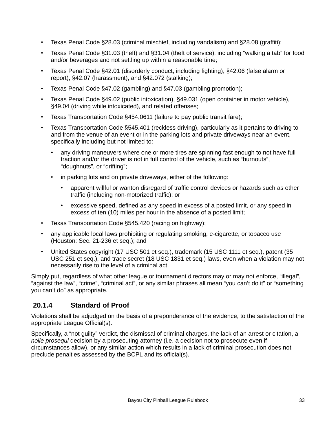- Texas Penal Code §28.03 (criminal mischief, including vandalism) and §28.08 (graffiti);
- Texas Penal Code §31.03 (theft) and §31.04 (theft of service), including "walking a tab" for food and/or beverages and not settling up within a reasonable time;
- Texas Penal Code §42.01 (disorderly conduct, including fighting), §42.06 (false alarm or report), §42.07 (harassment), and §42.072 (stalking);
- Texas Penal Code §47.02 (gambling) and §47.03 (gambling promotion);
- Texas Penal Code §49.02 (public intoxication), §49.031 (open container in motor vehicle), §49.04 (driving while intoxicated), and related offenses;
- Texas Transportation Code §454.0611 (failure to pay public transit fare);
- Texas Transportation Code §545.401 (reckless driving), particularly as it pertains to driving to and from the venue of an event or in the parking lots and private driveways near an event, specifically including but not limited to:
	- any driving maneuvers where one or more tires are spinning fast enough to not have full traction and/or the driver is not in full control of the vehicle, such as "burnouts", "doughnuts", or "drifting";
	- in parking lots and on private driveways, either of the following:
		- apparent willful or wanton disregard of traffic control devices or hazards such as other traffic (including non-motorized traffic); or
		- excessive speed, defined as any speed in excess of a posted limit, or any speed in excess of ten (10) miles per hour in the absence of a posted limit;
- Texas Transportation Code §545.420 (racing on highway);
- any applicable local laws prohibiting or regulating smoking, e-cigarette, or tobacco use (Houston: Sec. 21-236 et seq.); and
- United States copyright (17 USC 501 et seq.), trademark (15 USC 1111 et seq.), patent (35 USC 251 et seq.), and trade secret (18 USC 1831 et seq.) laws, even when a violation may not necessarily rise to the level of a criminal act.

Simply put, regardless of what other league or tournament directors may or may not enforce, "illegal", "against the law", "crime", "criminal act", or any similar phrases all mean "you can't do it" or "something you can't do" as appropriate.

#### **20.1.4 Standard of Proof**

Violations shall be adjudged on the basis of a preponderance of the evidence, to the satisfaction of the appropriate League Official(s).

Specifically, a "not guilty" verdict, the dismissal of criminal charges, the lack of an arrest or citation, a *nolle prosequi* decision by a prosecuting attorney (i.e. a decision not to prosecute even if circumstances allow), or any similar action which results in a lack of criminal prosecution does not preclude penalties assessed by the BCPL and its official(s).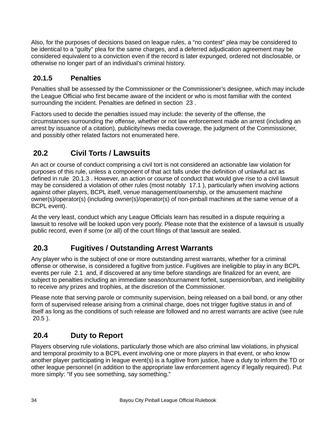Also, for the purposes of decisions based on league rules, a "no contest" plea may be considered to be identical to a "guilty" plea for the same charges, and a deferred adjudication agreement may be considered equivalent to a conviction even if the record is later expunged, ordered not disclosable, or otherwise no longer part of an individual's criminal history.

#### **20.1.5 Penalties**

Penalties shall be assessed by the Commissioner or the Commissioner's designee, which may include the League Official who first became aware of the incident or who is most familiar with the context surrounding the incident. Penalties are defined in section [23 .](#page-39-0)

Factors used to decide the penalties issued may include: the severity of the offense, the circumstances surrounding the offense, whether or not law enforcement made an arrest (including an arrest by issuance of a citation), publicity/news media coverage, the judgment of the Commissioner, and possibly other related factors not enumerated here.

# **20.2 Civil Torts / Lawsuits**

An act or course of conduct comprising a civil tort is not considered an actionable law violation for purposes of this rule, unless a component of that act falls under the definition of unlawful act as defined in rule [20.1.3 .](#page-31-2) However, an action or course of conduct that would give rise to a civil lawsuit may be considered a violation of other rules (most notably [17.1](#page-21-2) ), particularly when involving actions against other players, BCPL itself, venue management/ownership, or the amusement machine owner(s)/operator(s) (including owner(s)/operator(s) of non-pinball machines at the same venue of a BCPL event).

At the very least, conduct which any League Officials learn has resulted in a dispute requiring a lawsuit to resolve will be looked upon very poorly. Please note that the existence of a lawsuit is usually public record, even if some (or all) of the court filings of that lawsuit are sealed.

### **20.3 Fugitives / Outstanding Arrest Warrants**

Any player who is the subject of one or more outstanding arrest warrants, whether for a criminal offense or otherwise, is considered a fugitive from justice. Fugitives are ineligible to play in any BCPL events per rule [2.1](#page-5-2) and, if discovered at any time before standings are finalized for an event, are subject to penalties including an immediate season/tournament forfeit, suspension/ban, and ineligibility to receive any prizes and trophies, at the discretion of the Commissioner.

Please note that serving parole or community supervision, being released on a bail bond, or any other form of supervised release arising from a criminal charge, does not trigger fugitive status in and of itself as long as the conditions of such release are followed and no arrest warrants are active (see rule  [20.5](#page-34-2) ).

### **20.4 Duty to Report**

Players observing rule violations, particularly those which are also criminal law violations, in physical and temporal proximity to a BCPL event involving one or more players in that event, or who know another player participating in league event(s) is a fugitive from justice, have a duty to inform the TD or other league personnel (in addition to the appropriate law enforcement agency if legally required). Put more simply: "If you see something, say something."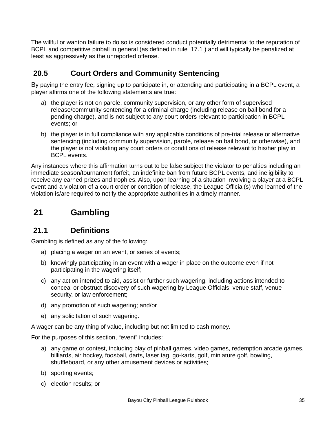The willful or wanton failure to do so is considered conduct potentially detrimental to the reputation of BCPL and competitive pinball in general (as defined in rule [17.1 \)](#page-21-2) and will typically be penalized at least as aggressively as the unreported offense.

#### <span id="page-34-2"></span> **20.5 Court Orders and Community Sentencing**

By paying the entry fee, signing up to participate in, or attending and participating in a BCPL event, a player affirms one of the following statements are true:

- a) the player is not on parole, community supervision, or any other form of supervised release/community sentencing for a criminal charge (including release on bail bond for a pending charge), and is not subject to any court orders relevant to participation in BCPL events; or
- b) the player is in full compliance with any applicable conditions of pre-trial release or alternative sentencing (including community supervision, parole, release on bail bond, or otherwise), and the player is not violating any court orders or conditions of release relevant to his/her play in BCPL events.

Any instances where this affirmation turns out to be false subject the violator to penalties including an immediate season/tournament forfeit, an indefinite ban from future BCPL events, and ineligibility to receive any earned prizes and trophies. Also, upon learning of a situation involving a player at a BCPL event and a violation of a court order or condition of release, the League Official(s) who learned of the violation is/are required to notify the appropriate authorities in a timely manner.

# <span id="page-34-0"></span> **21 Gambling**

### **21.1 Definitions**

Gambling is defined as any of the following:

- <span id="page-34-1"></span>a) placing a wager on an event, or series of events;
- b) knowingly participating in an event with a wager in place on the outcome even if not participating in the wagering itself;
- c) any action intended to aid, assist or further such wagering, including actions intended to conceal or obstruct discovery of such wagering by League Officials, venue staff, venue security, or law enforcement;
- d) any promotion of such wagering; and/or
- e) any solicitation of such wagering.

A wager can be any thing of value, including but not limited to cash money.

For the purposes of this section, "event" includes:

- a) any game or contest, including play of pinball games, video games, redemption arcade games, billiards, air hockey, foosball, darts, laser tag, go-karts, golf, miniature golf, bowling, shuffleboard, or any other amusement devices or activities;
- b) sporting events;
- c) election results; or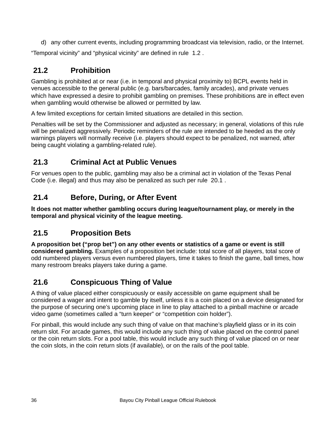d) any other current events, including programming broadcast via television, radio, or the Internet. "Temporal vicinity" and "physical vicinity" are defined in rule [1.2 .](#page-3-1)

### **21.2 Prohibition**

Gambling is prohibited at or near (i.e. in temporal and physical proximity to) BCPL events held in venues accessible to the general public (e.g. bars/barcades, family arcades), and private venues which have expressed a desire to prohibit gambling on premises. These prohibitions are in effect even when gambling would otherwise be allowed or permitted by law.

A few limited exceptions for certain limited situations are detailed in this section.

Penalties will be set by the Commissioner and adjusted as necessary; in general, violations of this rule will be penalized aggressively. Periodic reminders of the rule are intended to be heeded as the only warnings players will normally receive (i.e. players should expect to be penalized, not warned, after being caught violating a gambling-related rule).

### **21.3 Criminal Act at Public Venues**

For venues open to the public, gambling may also be a criminal act in violation of the Texas Penal Code (i.e. illegal) and thus may also be penalized as such per rule [20.1](#page-31-3) .

### **21.4 Before, During, or After Event**

**It does not matter whether gambling occurs during league/tournament play, or merely in the temporal and physical vicinity of the league meeting.**

### **21.5 Proposition Bets**

**A proposition bet ("prop bet") on any other events or statistics of a game or event is still considered gambling.** Examples of a proposition bet include: total score of all players, total score of odd numbered players versus even numbered players, time it takes to finish the game, ball times, how many restroom breaks players take during a game.

### <span id="page-35-0"></span> **21.6 Conspicuous Thing of Value**

A thing of value placed either conspicuously or easily accessible on game equipment shall be considered a wager and intent to gamble by itself, unless it is a coin placed on a device designated for the purpose of securing one's upcoming place in line to play attached to a pinball machine or arcade video game (sometimes called a "turn keeper" or "competition coin holder").

For pinball, this would include any such thing of value on that machine's playfield glass or in its coin return slot. For arcade games, this would include any such thing of value placed on the control panel or the coin return slots. For a pool table, this would include any such thing of value placed on or near the coin slots, in the coin return slots (if available), or on the rails of the pool table.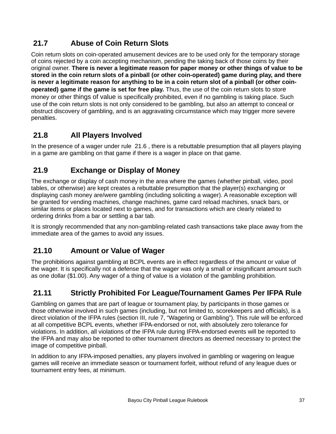### **21.7 Abuse of Coin Return Slots**

Coin return slots on coin-operated amusement devices are to be used only for the temporary storage of coins rejected by a coin accepting mechanism, pending the taking back of those coins by their original owner. **There is never a legitimate reason for paper money or other things of value to be stored in the coin return slots of a pinball (or other coin-operated) game during play, and there is never a legitimate reason for anything to be in a coin return slot of a pinball (or other coinoperated) game if the game is set for free play.** Thus, the use of the coin return slots to store money or other things of value is specifically prohibited, even if no gambling is taking place. Such use of the coin return slots is not only considered to be gambling, but also an attempt to conceal or obstruct discovery of gambling, and is an aggravating circumstance which may trigger more severe penalties.

### **21.8 All Players Involved**

In the presence of a wager under rule [21.6](#page-35-0) , there is a rebuttable presumption that all players playing in a game are gambling on that game if there is a wager in place on that game.

### **21.9 Exchange or Display of Money**

The exchange or display of cash money in the area where the games (whether pinball, video, pool tables, or otherwise) are kept creates a rebuttable presumption that the player(s) exchanging or displaying cash money are/were gambling (including soliciting a wager). A reasonable exception will be granted for vending machines, change machines, game card reload machines, snack bars, or similar items or places located next to games, and for transactions which are clearly related to ordering drinks from a bar or settling a bar tab.

It is strongly recommended that any non-gambling-related cash transactions take place away from the immediate area of the games to avoid any issues.

### **21.10 Amount or Value of Wager**

The prohibitions against gambling at BCPL events are in effect regardless of the amount or value of the wager. It is specifically not a defense that the wager was only a small or insignificant amount such as one dollar (\$1.00). Any wager of a thing of value is a violation of the gambling prohibition.

### **21.11 Strictly Prohibited For League/Tournament Games Per IFPA Rule**

Gambling on games that are part of league or tournament play, by participants in those games or those otherwise involved in such games (including, but not limited to, scorekeepers and officials), is a direct violation of the IFPA rules (section III, rule 7, "Wagering or Gambling"). This rule will be enforced at all competitive BCPL events, whether IFPA-endorsed or not, with absolutely zero tolerance for violations. In addition, all violations of the IFPA rule during IFPA-endorsed events will be reported to the IFPA and may also be reported to other tournament directors as deemed necessary to protect the image of competitive pinball.

In addition to any IFPA-imposed penalties, any players involved in gambling or wagering on league games will receive an immediate season or tournament forfeit, without refund of any league dues or tournament entry fees, at minimum.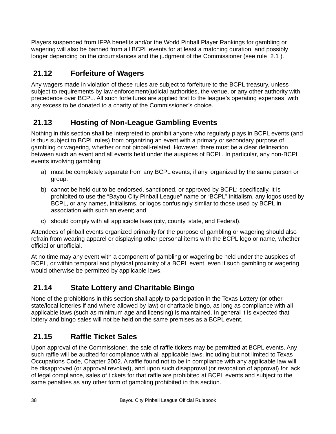Players suspended from IFPA benefits and/or the World Pinball Player Rankings for gambling or wagering will also be banned from all BCPL events for at least a matching duration, and possibly longer depending on the circumstances and the judgment of the Commissioner (see rule [2.1](#page-5-2) ).

### **21.12 Forfeiture of Wagers**

Any wagers made in violation of these rules are subject to forfeiture to the BCPL treasury, unless subiect to requirements by law enforcement/judicial authorities, the venue, or any other authority with precedence over BCPL. All such forfeitures are applied first to the league's operating expenses, with any excess to be donated to a charity of the Commissioner's choice.

### **21.13 Hosting of Non-League Gambling Events**

Nothing in this section shall be interpreted to prohibit anyone who regularly plays in BCPL events (and is thus subject to BCPL rules) from organizing an event with a primary or secondary purpose of gambling or wagering, whether or not pinball-related. However, there must be a clear delineation between such an event and all events held under the auspices of BCPL. In particular, any non-BCPL events involving gambling:

- a) must be completely separate from any BCPL events, if any, organized by the same person or group;
- b) cannot be held out to be endorsed, sanctioned, or approved by BCPL; specifically, it is prohibited to use the "Bayou City Pinball League" name or "BCPL" initialism, any logos used by BCPL, or any names, initialisms, or logos confusingly similar to those used by BCPL in association with such an event; and
- c) should comply with all applicable laws (city, county, state, and Federal).

Attendees of pinball events organized primarily for the purpose of gambling or wagering should also refrain from wearing apparel or displaying other personal items with the BCPL logo or name, whether official or unofficial.

At no time may any event with a component of gambling or wagering be held under the auspices of BCPL, or within temporal and physical proximity of a BCPL event, even if such gambling or wagering would otherwise be permitted by applicable laws.

### **21.14 State Lottery and Charitable Bingo**

None of the prohibitions in this section shall apply to participation in the Texas Lottery (or other state/local lotteries if and where allowed by law) or charitable bingo, as long as compliance with all applicable laws (such as minimum age and licensing) is maintained. In general it is expected that lottery and bingo sales will not be held on the same premises as a BCPL event.

# **21.15 Raffle Ticket Sales**

Upon approval of the Commissioner, the sale of raffle tickets may be permitted at BCPL events. Any such raffle will be audited for compliance with all applicable laws, including but not limited to Texas Occupations Code, Chapter 2002. A raffle found not to be in compliance with any applicable law will be disapproved (or approval revoked), and upon such disapproval (or revocation of approval) for lack of legal compliance, sales of tickets for that raffle are prohibited at BCPL events and subject to the same penalties as any other form of gambling prohibited in this section.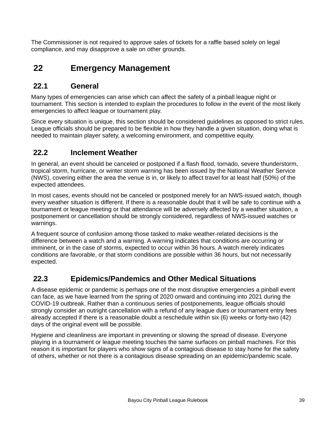The Commissioner is not required to approve sales of tickets for a raffle based solely on legal compliance, and may disapprove a sale on other grounds.

# <span id="page-38-0"></span> **22 Emergency Management**

#### **22.1 General**

Many types of emergencies can arise which can affect the safety of a pinball league night or tournament. This section is intended to explain the procedures to follow in the event of the most likely emergencies to affect league or tournament play.

Since every situation is unique, this section should be considered guidelines as opposed to strict rules. League officials should be prepared to be flexible in how they handle a given situation, doing what is needed to maintain player safety, a welcoming environment, and competitive equity.

### **22.2 Inclement Weather**

In general, an event should be canceled or postponed if a flash flood, tornado, severe thunderstorm, tropical storm, hurricane, or winter storm warning has been issued by the National Weather Service (NWS), covering either the area the venue is in, or likely to affect travel for at least half (50%) of the expected attendees.

In most cases, events should not be canceled or postponed merely for an NWS-issued watch, though every weather situation is different. If there is a reasonable doubt that it will be safe to continue with a tournament or league meeting or that attendance will be adversely affected by a weather situation, a postponement or cancellation should be strongly considered, regardless of NWS-issued watches or warnings.

A frequent source of confusion among those tasked to make weather-related decisions is the difference between a watch and a warning. A warning indicates that conditions are occurring or imminent, or in the case of storms, expected to occur within 36 hours. A watch merely indicates conditions are favorable, or that storm conditions are possible within 36 hours, but not necessarily expected.

### **22.3 Epidemics/Pandemics and Other Medical Situations**

A disease epidemic or pandemic is perhaps one of the most disruptive emergencies a pinball event can face, as we have learned from the spring of 2020 onward and continuing into 2021 during the COVID-19 outbreak. Rather than a continuous series of postponements, league officials should strongly consider an outright cancellation with a refund of any league dues or tournament entry fees already accepted if there is a reasonable doubt a reschedule within six (6) weeks or forty-two (42) days of the original event will be possible.

Hygiene and cleanliness are important in preventing or slowing the spread of disease. Everyone playing in a tournament or league meeting touches the same surfaces on pinball machines. For this reason it is important for players who show signs of a contagious disease to stay home for the safety of others, whether or not there is a contagious disease spreading on an epidemic/pandemic scale.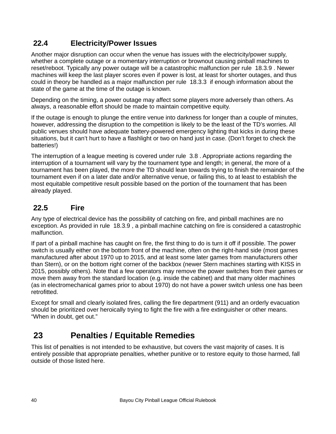### **22.4 Electricity/Power Issues**

Another major disruption can occur when the venue has issues with the electricity/power supply, whether a complete outage or a momentary interruption or brownout causing pinball machines to reset/reboot. Typically any power outage will be a catastrophic malfunction per rule [18.3.9 .](#page-26-0) Newer machines will keep the last player scores even if power is lost, at least for shorter outages, and thus could in theory be handled as a major malfunction per rule [18.3.3](#page-24-0) if enough information about the state of the game at the time of the outage is known.

Depending on the timing, a power outage may affect some players more adversely than others. As always, a reasonable effort should be made to maintain competitive equity.

If the outage is enough to plunge the entire venue into darkness for longer than a couple of minutes, however, addressing the disruption to the competition is likely to be the least of the TD's worries. All public venues should have adequate battery-powered emergency lighting that kicks in during these situations, but it can't hurt to have a flashlight or two on hand just in case. (Don't forget to check the batteries!)

The interruption of a league meeting is covered under rule [3.8 .](#page-8-0) Appropriate actions regarding the interruption of a tournament will vary by the tournament type and length; in general, the more of a tournament has been played, the more the TD should lean towards trying to finish the remainder of the tournament even if on a later date and/or alternative venue, or failing this, to at least to establish the most equitable competitive result possible based on the portion of the tournament that has been already played.

#### **22.5 Fire**

Any type of electrical device has the possibility of catching on fire, and pinball machines are no exception. As provided in rule [18.3.9](#page-26-0) , a pinball machine catching on fire is considered a catastrophic malfunction.

If part of a pinball machine has caught on fire, the first thing to do is turn it off if possible. The power switch is usually either on the bottom front of the machine, often on the right-hand side (most games manufactured after about 1970 up to 2015, and at least some later games from manufacturers other than Stern), or on the bottom right corner of the backbox (newer Stern machines starting with KISS in 2015, possibly others). Note that a few operators may remove the power switches from their games or move them away from the standard location (e.g. inside the cabinet) and that many older machines (as in electromechanical games prior to about 1970) do not have a power switch unless one has been retrofitted.

Except for small and clearly isolated fires, calling the fire department (911) and an orderly evacuation should be prioritized over heroically trying to fight the fire with a fire extinguisher or other means. "When in doubt, get out."

# <span id="page-39-0"></span> **23 Penalties / Equitable Remedies**

This list of penalties is not intended to be exhaustive, but covers the vast majority of cases. It is entirely possible that appropriate penalties, whether punitive or to restore equity to those harmed, fall outside of those listed here.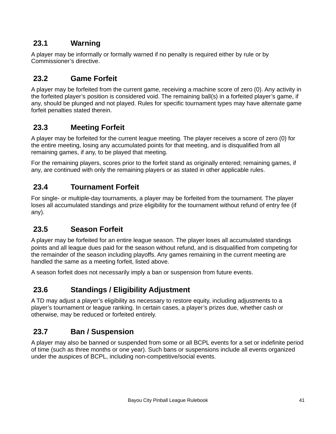### **23.1 Warning**

A player may be informally or formally warned if no penalty is required either by rule or by Commissioner's directive.

### **23.2 Game Forfeit**

A player may be forfeited from the current game, receiving a machine score of zero (0). Any activity in the forfeited player's position is considered void. The remaining ball(s) in a forfeited player's game, if any, should be plunged and not played. Rules for specific tournament types may have alternate game forfeit penalties stated therein.

### **23.3 Meeting Forfeit**

A player may be forfeited for the current league meeting. The player receives a score of zero (0) for the entire meeting, losing any accumulated points for that meeting, and is disqualified from all remaining games, if any, to be played that meeting.

For the remaining players, scores prior to the forfeit stand as originally entered; remaining games, if any, are continued with only the remaining players or as stated in other applicable rules.

#### **23.4 Tournament Forfeit**

For single- or multiple-day tournaments, a player may be forfeited from the tournament. The player loses all accumulated standings and prize eligibility for the tournament without refund of entry fee (if any).

#### **23.5 Season Forfeit**

A player may be forfeited for an entire league season. The player loses all accumulated standings points and all league dues paid for the season without refund, and is disqualified from competing for the remainder of the season including playoffs. Any games remaining in the current meeting are handled the same as a meeting forfeit, listed above.

A season forfeit does not necessarily imply a ban or suspension from future events.

### **23.6 Standings / Eligibility Adjustment**

A TD may adjust a player's eligibility as necessary to restore equity, including adjustments to a player's tournament or league ranking. In certain cases, a player's prizes due, whether cash or otherwise, may be reduced or forfeited entirely.

### **23.7 Ban / Suspension**

A player may also be banned or suspended from some or all BCPL events for a set or indefinite period of time (such as three months or one year). Such bans or suspensions include all events organized under the auspices of BCPL, including non-competitive/social events.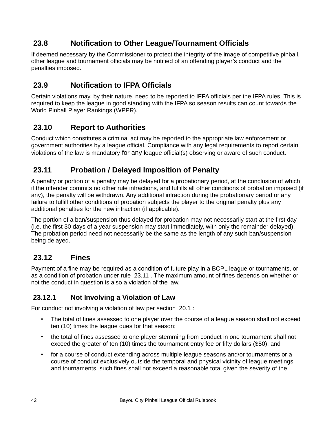### **23.8 Notification to Other League/Tournament Officials**

If deemed necessary by the Commissioner to protect the integrity of the image of competitive pinball, other league and tournament officials may be notified of an offending player's conduct and the penalties imposed.

### **23.9 Notification to IFPA Officials**

Certain violations may, by their nature, need to be reported to IFPA officials per the IFPA rules. This is required to keep the league in good standing with the IFPA so season results can count towards the World Pinball Player Rankings (WPPR).

### **23.10 Report to Authorities**

Conduct which constitutes a criminal act may be reported to the appropriate law enforcement or government authorities by a league official. Compliance with any legal requirements to report certain violations of the law is mandatory for any league official(s) observing or aware of such conduct.

### <span id="page-41-0"></span> **23.11 Probation / Delayed Imposition of Penalty**

A penalty or portion of a penalty may be delayed for a probationary period, at the conclusion of which if the offender commits no other rule infractions, and fulfills all other conditions of probation imposed (if any), the penalty will be withdrawn. Any additional infraction during the probationary period or any failure to fulfill other conditions of probation subjects the player to the original penalty plus any additional penalties for the new infraction (if applicable).

The portion of a ban/suspension thus delayed for probation may not necessarily start at the first day (i.e. the first 30 days of a year suspension may start immediately, with only the remainder delayed). The probation period need not necessarily be the same as the length of any such ban/suspension being delayed.

### **23.12 Fines**

Payment of a fine may be required as a condition of future play in a BCPL league or tournaments, or as a condition of probation under rule [23.11](#page-41-0) . The maximum amount of fines depends on whether or not the conduct in question is also a violation of the law.

#### **23.12.1 Not Involving a Violation of Law**

For conduct not involving a violation of law per section [20.1](#page-31-3) :

- <span id="page-41-1"></span>The total of fines assessed to one player over the course of a league season shall not exceed ten (10) times the league dues for that season;
- the total of fines assessed to one player stemming from conduct in one tournament shall not exceed the greater of ten (10) times the tournament entry fee or fifty dollars (\$50); and
- for a course of conduct extending across multiple league seasons and/or tournaments or a course of conduct exclusively outside the temporal and physical vicinity of league meetings and tournaments, such fines shall not exceed a reasonable total given the severity of the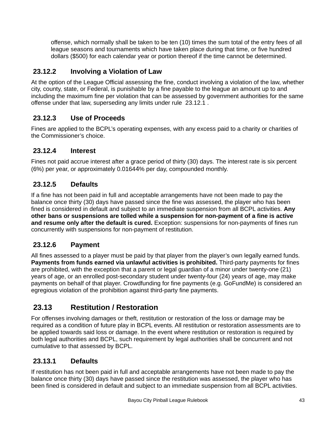offense, which normally shall be taken to be ten (10) times the sum total of the entry fees of all league seasons and tournaments which have taken place during that time, or five hundred dollars (\$500) for each calendar year or portion thereof if the time cannot be determined.

#### **23.12.2 Involving a Violation of Law**

At the option of the League Official assessing the fine, conduct involving a violation of the law, whether city, county, state, or Federal, is punishable by a fine payable to the league an amount up to and including the maximum fine per violation that can be assessed by government authorities for the same offense under that law, superseding any limits under rule [23.12.1 .](#page-41-1)

#### **23.12.3 Use of Proceeds**

Fines are applied to the BCPL's operating expenses, with any excess paid to a charity or charities of the Commissioner's choice.

#### **23.12.4 Interest**

Fines not paid accrue interest after a grace period of thirty (30) days. The interest rate is six percent (6%) per year, or approximately 0.01644% per day, compounded monthly.

#### **23.12.5 Defaults**

If a fine has not been paid in full and acceptable arrangements have not been made to pay the balance once thirty (30) days have passed since the fine was assessed, the player who has been fined is considered in default and subject to an immediate suspension from all BCPL activities. **Any other bans or suspensions are tolled while a suspension for non-payment of a fine is active and resume only after the default is cured.** Exception: suspensions for non-payments of fines run concurrently with suspensions for non-payment of restitution.

#### **23.12.6 Payment**

All fines assessed to a player must be paid by that player from the player's own legally earned funds. **Payments from funds earned via unlawful activities is prohibited.** Third-party payments for fines are prohibited, with the exception that a parent or legal guardian of a minor under twenty-one (21) years of age, or an enrolled post-secondary student under twenty-four (24) years of age, may make payments on behalf of that player. Crowdfunding for fine payments (e.g. GoFundMe) is considered an egregious violation of the prohibition against third-party fine payments.

### **23.13 Restitution / Restoration**

For offenses involving damages or theft, restitution or restoration of the loss or damage may be required as a condition of future play in BCPL events. All restitution or restoration assessments are to be applied towards said loss or damage. In the event where restitution or restoration is required by both legal authorities and BCPL, such requirement by legal authorities shall be concurrent and not cumulative to that assessed by BCPL.

#### **23.13.1 Defaults**

If restitution has not been paid in full and acceptable arrangements have not been made to pay the balance once thirty (30) days have passed since the restitution was assessed, the player who has been fined is considered in default and subject to an immediate suspension from all BCPL activities.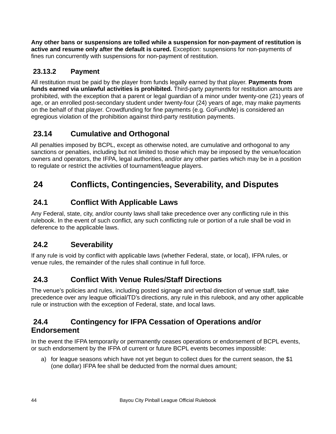**Any other bans or suspensions are tolled while a suspension for non-payment of restitution is active and resume only after the default is cured.** Exception: suspensions for non-payments of fines run concurrently with suspensions for non-payment of restitution.

### **23.13.2 Payment**

All restitution must be paid by the player from funds legally earned by that player. **Payments from funds earned via unlawful activities is prohibited.** Third-party payments for restitution amounts are prohibited, with the exception that a parent or legal guardian of a minor under twenty-one (21) years of age, or an enrolled post-secondary student under twenty-four (24) years of age, may make payments on the behalf of that player. Crowdfunding for fine payments (e.g. GoFundMe) is considered an egregious violation of the prohibition against third-party restitution payments.

### **23.14 Cumulative and Orthogonal**

All penalties imposed by BCPL, except as otherwise noted, are cumulative and orthogonal to any sanctions or penalties, including but not limited to those which may be imposed by the venue/location owners and operators, the IFPA, legal authorities, and/or any other parties which may be in a position to regulate or restrict the activities of tournament/league players.

# <span id="page-43-0"></span> **24 Conflicts, Contingencies, Severability, and Disputes**

### **24.1 Conflict With Applicable Laws**

Any Federal, state, city, and/or county laws shall take precedence over any conflicting rule in this rulebook. In the event of such conflict, any such conflicting rule or portion of a rule shall be void in deference to the applicable laws.

### **24.2 Severability**

If any rule is void by conflict with applicable laws (whether Federal, state, or local), IFPA rules, or venue rules, the remainder of the rules shall continue in full force.

### **24.3 Conflict With Venue Rules/Staff Directions**

The venue's policies and rules, including posted signage and verbal direction of venue staff, take precedence over any league official/TD's directions, any rule in this rulebook, and any other applicable rule or instruction with the exception of Federal, state, and local laws.

### **24.4 Contingency for IFPA Cessation of Operations and/or Endorsement**

In the event the IFPA temporarily or permanently ceases operations or endorsement of BCPL events, or such endorsement by the IFPA of current or future BCPL events becomes impossible:

a) for league seasons which have not yet begun to collect dues for the current season, the \$1 (one dollar) IFPA fee shall be deducted from the normal dues amount;